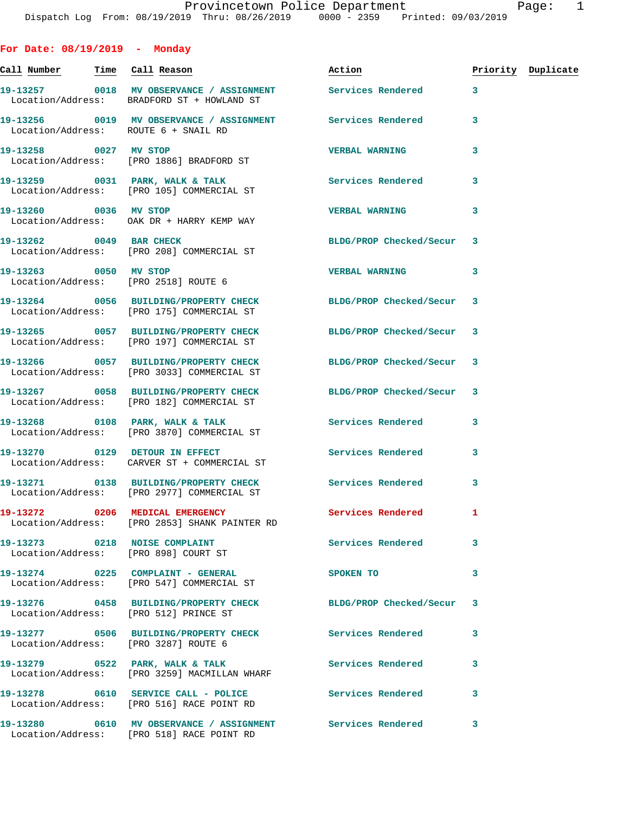Call Number **Time** Call Reason **Reason Burner** Action **Priority Duplicate** 

|      | r agc |  |  |
|------|-------|--|--|
| 2019 |       |  |  |

|                                                                       | 19-13257 0018 MV OBSERVANCE / ASSIGNMENT<br>Location/Address: BRADFORD ST + HOWLAND ST | <b>Services Rendered</b>  | 3            |
|-----------------------------------------------------------------------|----------------------------------------------------------------------------------------|---------------------------|--------------|
| Location/Address: ROUTE 6 + SNAIL RD                                  | 19-13256 0019 MV OBSERVANCE / ASSIGNMENT Services Rendered                             |                           | 3            |
| 19-13258 0027 MV STOP                                                 | Location/Address: [PRO 1886] BRADFORD ST                                               | <b>VERBAL WARNING</b>     | 3            |
|                                                                       | 19-13259 0031 PARK, WALK & TALK<br>Location/Address: [PRO 105] COMMERCIAL ST           | <b>Services Rendered</b>  | 3            |
|                                                                       | 19-13260 0036 MV STOP<br>Location/Address: OAK DR + HARRY KEMP WAY                     | <b>VERBAL WARNING</b>     | 3            |
| 19-13262 0049 BAR CHECK                                               | Location/Address: [PRO 208] COMMERCIAL ST                                              | BLDG/PROP Checked/Secur 3 |              |
| 19-13263 0050 MV STOP<br>Location/Address: [PRO 2518] ROUTE 6         |                                                                                        | <b>VERBAL WARNING</b>     | 3            |
|                                                                       | 19-13264 0056 BUILDING/PROPERTY CHECK<br>Location/Address: [PRO 175] COMMERCIAL ST     | BLDG/PROP Checked/Secur 3 |              |
|                                                                       | 19-13265 0057 BUILDING/PROPERTY CHECK<br>Location/Address: [PRO 197] COMMERCIAL ST     | BLDG/PROP Checked/Secur 3 |              |
|                                                                       | 19-13266 0057 BUILDING/PROPERTY CHECK<br>Location/Address: [PRO 3033] COMMERCIAL ST    | BLDG/PROP Checked/Secur 3 |              |
|                                                                       | 19-13267 0058 BUILDING/PROPERTY CHECK<br>Location/Address: [PRO 182] COMMERCIAL ST     | BLDG/PROP Checked/Secur 3 |              |
|                                                                       | 19-13268 0108 PARK, WALK & TALK<br>Location/Address: [PRO 3870] COMMERCIAL ST          | Services Rendered         | 3            |
|                                                                       | 19-13270 0129 DETOUR IN EFFECT<br>Location/Address: CARVER ST + COMMERCIAL ST          | Services Rendered         | 3            |
|                                                                       | 19-13271 0138 BUILDING/PROPERTY CHECK<br>Location/Address: [PRO 2977] COMMERCIAL ST    | Services Rendered         | 3            |
|                                                                       | 19-13272 0206 MEDICAL EMERGENCY<br>Location/Address: [PRO 2853] SHANK PAINTER RD       | Services Rendered         | $\mathbf{1}$ |
| 19-13273 0218 NOISE COMPLAINT<br>Location/Address: [PRO 898] COURT ST |                                                                                        | Services Rendered         | $\mathbf{3}$ |
|                                                                       | $19-13274$ 0225 COMPLAINT - GENERAL<br>Location/Address: [PRO 547] COMMERCIAL ST       | SPOKEN TO                 | 3            |
| Location/Address: [PRO 512] PRINCE ST                                 | 19-13276 0458 BUILDING/PROPERTY CHECK                                                  | BLDG/PROP Checked/Secur 3 |              |
| Location/Address: [PRO 3287] ROUTE 6                                  | 19-13277 0506 BUILDING/PROPERTY CHECK                                                  | <b>Services Rendered</b>  | 3            |
|                                                                       |                                                                                        | Services Rendered         | 3            |
|                                                                       |                                                                                        |                           |              |

**For Date: 08/19/2019 - Monday**

Location/Address: [PRO 516] RACE POINT RD

Location/Address: [PRO 518] RACE POINT RD

19-13278 0610 SERVICE CALL - POLICE 3 Services Rendered 3

**19-13280 0610 MV OBSERVANCE / ASSIGNMENT Services Rendered 3**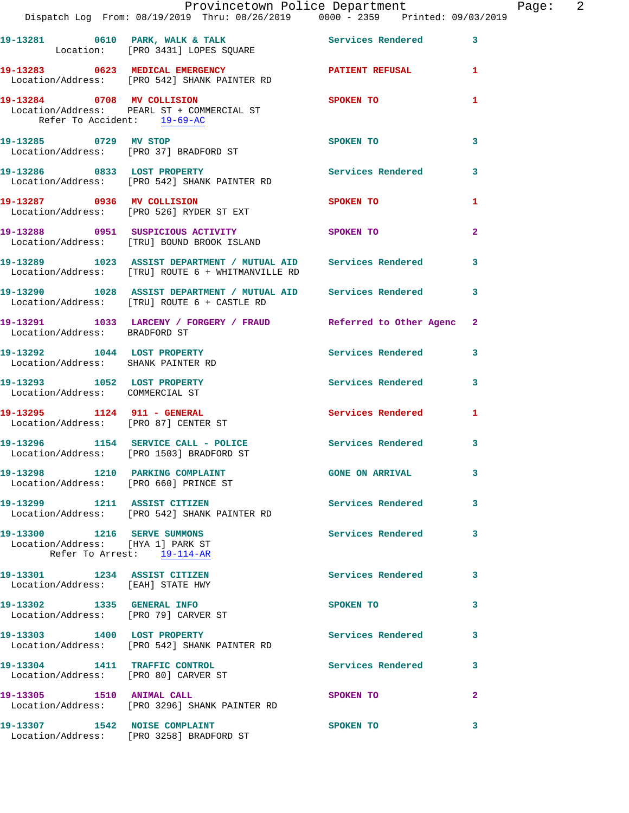|                                                                          | Provincetown Police Department                                                                                      |                          |                |
|--------------------------------------------------------------------------|---------------------------------------------------------------------------------------------------------------------|--------------------------|----------------|
|                                                                          | Dispatch Log From: 08/19/2019 Thru: 08/26/2019 0000 - 2359 Printed: 09/03/2019                                      |                          |                |
|                                                                          | 19-13281 0610 PARK, WALK & TALK 2008 Services Rendered Location: [PRO 3431] LOPES SQUARE                            |                          | $\mathbf{3}$   |
|                                                                          | 19-13283 0623 MEDICAL EMERGENCY PATIENT REFUSAL<br>Location/Address: [PRO 542] SHANK PAINTER RD                     |                          | 1              |
| Refer To Accident: 19-69-AC                                              | 19-13284 0708 MV COLLISION<br>Location/Address: PEARL ST + COMMERCIAL ST                                            | SPOKEN TO                | 1              |
| 19-13285 0729 MV STOP                                                    | Location/Address: [PRO 37] BRADFORD ST                                                                              | SPOKEN TO                | 3              |
|                                                                          | 19-13286 0833 LOST PROPERTY<br>Location/Address: [PRO 542] SHANK PAINTER RD                                         | Services Rendered        | 3              |
|                                                                          | 19-13287 0936 MV COLLISION SPOKEN TO<br>Location/Address: [PRO 526] RYDER ST EXT                                    |                          | 1              |
|                                                                          | 19-13288 0951 SUSPICIOUS ACTIVITY<br>Location/Address: [TRU] BOUND BROOK ISLAND                                     | <b>SPOKEN TO</b>         | $\overline{a}$ |
|                                                                          | 19-13289 1023 ASSIST DEPARTMENT / MUTUAL AID Services Rendered<br>Location/Address: [TRU] ROUTE 6 + WHITMANVILLE RD |                          | 3              |
|                                                                          | 19-13290 1028 ASSIST DEPARTMENT / MUTUAL AID Services Rendered 3<br>Location/Address: [TRU] ROUTE 6 + CASTLE RD     |                          |                |
| Location/Address: BRADFORD ST                                            | 19-13291 1033 LARCENY / FORGERY / FRAUD Referred to Other Agenc                                                     |                          | $\mathbf{2}$   |
| Location/Address: SHANK PAINTER RD                                       | 19-13292 1044 LOST PROPERTY                                                                                         | Services Rendered        | 3              |
| 19-13293 1052 LOST PROPERTY<br>Location/Address: COMMERCIAL ST           |                                                                                                                     | Services Rendered        | 3              |
| 19-13295 1124 911 - GENERAL                                              | Location/Address: [PRO 87] CENTER ST                                                                                | Services Rendered        | 1              |
|                                                                          | 19-13296 1154 SERVICE CALL - POLICE Services Rendered 3<br>Location/Address: [PRO 1503] BRADFORD ST                 |                          |                |
| 19-13298 1210 PARKING COMPLAINT<br>Location/Address: [PRO 660] PRINCE ST |                                                                                                                     | <b>GONE ON ARRIVAL</b>   | 3              |
|                                                                          | 19-13299 1211 ASSIST CITIZEN<br>Location/Address: [PRO 542] SHANK PAINTER RD                                        | Services Rendered        | 3              |
| 19-13300 1216 SERVE SUMMONS<br>Location/Address: [HYA 1] PARK ST         | Refer To Arrest: 19-114-AR                                                                                          | <b>Services Rendered</b> | 3              |
| 19-13301 1234 ASSIST CITIZEN<br>Location/Address: [EAH] STATE HWY        |                                                                                                                     | Services Rendered        | 3              |
| 19-13302 1335 GENERAL INFO<br>Location/Address: [PRO 79] CARVER ST       |                                                                                                                     | SPOKEN TO                | 3              |
|                                                                          | 19-13303 1400 LOST PROPERTY<br>Location/Address: [PRO 542] SHANK PAINTER RD                                         | Services Rendered        | 3              |
| 19-13304 1411 TRAFFIC CONTROL<br>Location/Address: [PRO 80] CARVER ST    |                                                                                                                     | Services Rendered        | 3              |
|                                                                          | 19-13305 1510 ANIMAL CALL<br>Location/Address: [PRO 3296] SHANK PAINTER RD                                          | SPOKEN TO                | $\mathbf{2}$   |
| 19-13307 1542 NOISE COMPLAINT                                            | Location/Address: [PRO 3258] BRADFORD ST                                                                            | SPOKEN TO                | 3              |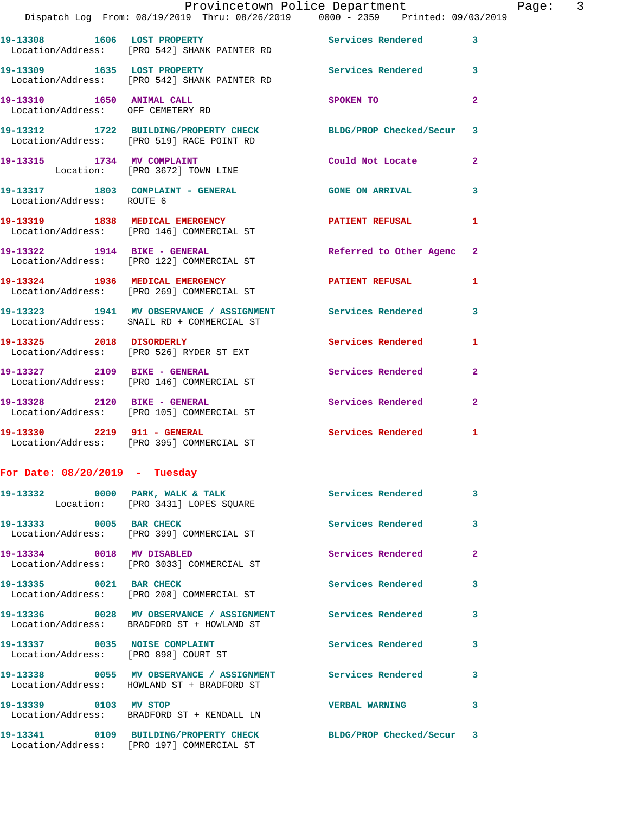|                                   | Provincetown Police Department<br>Dispatch Log From: 08/19/2019 Thru: 08/26/2019 0000 - 2359 Printed: 09/03/2019 |                           | Page: 3      |
|-----------------------------------|------------------------------------------------------------------------------------------------------------------|---------------------------|--------------|
|                                   | 19-13308 1606 LOST PROPERTY 1999 Services Rendered 3<br>Location/Address: [PRO 542] SHANK PAINTER RD             |                           |              |
|                                   | 19-13309 1635 LOST PROPERTY<br>Location/Address: [PRO 542] SHANK PAINTER RD                                      | Services Rendered 3       |              |
| Location/Address: OFF CEMETERY RD | 19-13310 1650 ANIMAL CALL                                                                                        | SPOKEN TO                 | $\mathbf{2}$ |
|                                   | 19-13312 1722 BUILDING/PROPERTY CHECK BLDG/PROP Checked/Secur 3<br>Location/Address: [PRO 519] RACE POINT RD     |                           |              |
|                                   | 19-13315 1734 MV COMPLAINT<br>Location: [PRO 3672] TOWN LINE                                                     | Could Not Locate 2        |              |
| Location/Address: ROUTE 6         | 19-13317 1803 COMPLAINT - GENERAL GONE ON ARRIVAL                                                                |                           | 3            |
|                                   | 19-13319 1838 MEDICAL EMERGENCY 1 PATIENT REFUSAL 1<br>Location/Address: [PRO 146] COMMERCIAL ST                 |                           |              |
|                                   | 19-13322 1914 BIKE - GENERAL<br>Location/Address: [PRO 122] COMMERCIAL ST                                        | Referred to Other Agenc 2 |              |
|                                   | 19-13324 1936 MEDICAL EMERGENCY 1 PATIENT REFUSAL 1<br>Location/Address: [PRO 269] COMMERCIAL ST                 |                           |              |
|                                   | 19-13323 1941 MV OBSERVANCE / ASSIGNMENT Services Rendered<br>Location/Address: SNAIL RD + COMMERCIAL ST         |                           | 3            |
|                                   | 19-13325 2018 DISORDERLY<br>Location/Address: [PRO 526] RYDER ST EXT                                             | Services Rendered 1       |              |
|                                   | 19-13327 2109 BIKE - GENERAL<br>Location/Address: [PRO 146] COMMERCIAL ST                                        | Services Rendered         | $\mathbf{2}$ |
|                                   | 19-13328 2120 BIKE - GENERAL<br>Location/Address: [PRO 105] COMMERCIAL ST                                        | Services Rendered         | $\mathbf{2}$ |
|                                   | 19-13330   2219   911 - GENERAL<br>Location/Address: [PRO 395] COMMERCIAL ST                                     | Services Rendered 1       |              |
| For Date: $08/20/2019$ - Tuesday  |                                                                                                                  |                           |              |
|                                   | 19-13332 0000 PARK, WALK & TALK 6 Services Rendered<br>Location: [PRO 3431] LOPES SQUARE                         |                           | 3            |
|                                   | 19-13333 0005 BAR CHECK<br>Location/Address: [PRO 399] COMMERCIAL ST                                             | Services Rendered         | 3            |
|                                   | 19-13334 0018 MV DISABLED<br>Location/Address: [PRO 3033] COMMERCIAL ST                                          | Services Rendered         | $\mathbf{2}$ |
| 19-13335 0021 BAR CHECK           | Location/Address: [PRO 208] COMMERCIAL ST                                                                        | <b>Services Rendered</b>  | 3            |
|                                   | 19-13336 0028 MV OBSERVANCE / ASSIGNMENT Services Rendered<br>Location/Address: BRADFORD ST + HOWLAND ST         |                           | 3            |
|                                   | 19-13337 0035 NOISE COMPLAINT<br>Location/Address: [PRO 898] COURT ST                                            | <b>Services Rendered</b>  | 3            |
|                                   | 19-13338 60055 MV OBSERVANCE / ASSIGNMENT Services Rendered<br>Location/Address: HOWLAND ST + BRADFORD ST        |                           | 3            |
| 19-13339 0103 MV STOP             | Location/Address: BRADFORD ST + KENDALL LN                                                                       | <b>VERBAL WARNING</b>     | 3            |
|                                   | 19-13341 0109 BUILDING/PROPERTY CHECK BLDG/PROP Checked/Secur 3<br>Location/Address: [PRO 197] COMMERCIAL ST     |                           |              |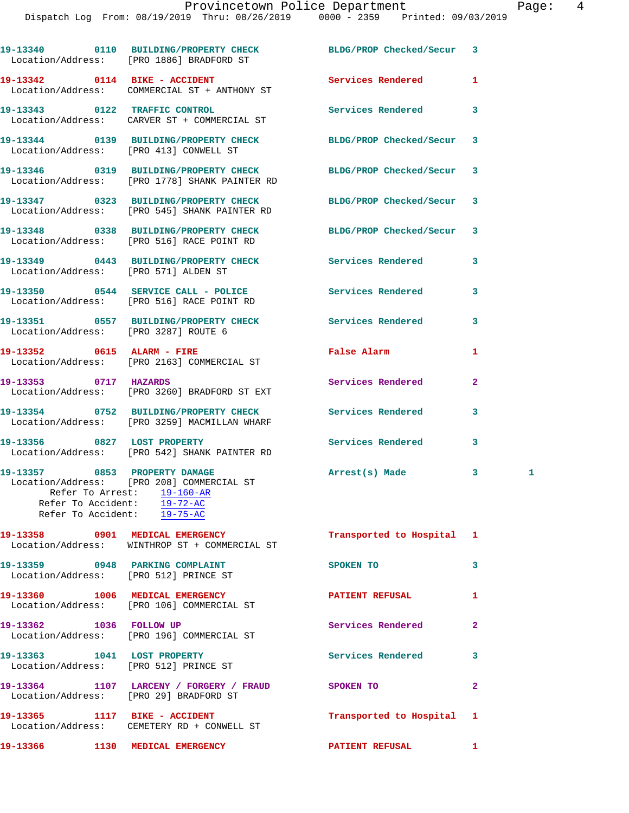|                                       | 19-13340 0110 BUILDING/PROPERTY CHECK<br>Location/Address: [PRO 1886] BRADFORD ST                                                                                                                               | BLDG/PROP Checked/Secur   | 3              |   |
|---------------------------------------|-----------------------------------------------------------------------------------------------------------------------------------------------------------------------------------------------------------------|---------------------------|----------------|---|
|                                       | 19-13342 0114 BIKE - ACCIDENT<br>Location/Address: COMMERCIAL ST + ANTHONY ST                                                                                                                                   | Services Rendered         | 1              |   |
|                                       | 19-13343 0122 TRAFFIC CONTROL<br>Location/Address: CARVER ST + COMMERCIAL ST                                                                                                                                    | <b>Services Rendered</b>  | 3              |   |
|                                       | 19-13344 0139 BUILDING/PROPERTY CHECK<br>Location/Address: [PRO 413] CONWELL ST                                                                                                                                 | BLDG/PROP Checked/Secur   | 3              |   |
|                                       | 19-13346 0319 BUILDING/PROPERTY CHECK<br>Location/Address: [PRO 1778] SHANK PAINTER RD                                                                                                                          | BLDG/PROP Checked/Secur 3 |                |   |
|                                       | 19-13347 0323 BUILDING/PROPERTY CHECK<br>Location/Address: [PRO 545] SHANK PAINTER RD                                                                                                                           | BLDG/PROP Checked/Secur   | 3              |   |
|                                       | 19-13348 0338 BUILDING/PROPERTY CHECK<br>Location/Address: [PRO 516] RACE POINT RD                                                                                                                              | BLDG/PROP Checked/Secur 3 |                |   |
| Location/Address: [PRO 571] ALDEN ST  | 19-13349 0443 BUILDING/PROPERTY CHECK Services Rendered                                                                                                                                                         |                           | 3              |   |
|                                       | 19-13350 0544 SERVICE CALL - POLICE<br>Location/Address: [PRO 516] RACE POINT RD                                                                                                                                | Services Rendered         | 3              |   |
|                                       | 19-13351 0557 BUILDING/PROPERTY CHECK Services Rendered<br>Location/Address: [PRO 3287] ROUTE 6                                                                                                                 |                           | 3              |   |
|                                       | 19-13352 0615 ALARM - FIRE<br>Location/Address: [PRO 2163] COMMERCIAL ST                                                                                                                                        | False Alarm               | 1              |   |
| 19-13353 0717 HAZARDS                 | Location/Address: [PRO 3260] BRADFORD ST EXT                                                                                                                                                                    | Services Rendered         | $\overline{a}$ |   |
|                                       | 19-13354 0752 BUILDING/PROPERTY CHECK<br>Location/Address: [PRO 3259] MACMILLAN WHARF                                                                                                                           | <b>Services Rendered</b>  | 3              |   |
|                                       | 19-13356 0827 LOST PROPERTY<br>Location/Address: [PRO 542] SHANK PAINTER RD                                                                                                                                     | Services Rendered         | 3              |   |
|                                       | 19-13357 0853 PROPERTY DAMAGE<br>Location/Address: [PRO 208] COMMERCIAL ST<br>Refer To Arrest: 19-160-AR<br>Refer To Accident: $\frac{29 - 180 + 10}{19 - 72 - AC}$<br>Refer To Accident: $\overline{19-75-AC}$ | Arrest(s) Made            | 3              | 1 |
|                                       | 19-13358 0901 MEDICAL EMERGENCY<br>Location/Address: WINTHROP ST + COMMERCIAL ST                                                                                                                                | Transported to Hospital 1 |                |   |
| Location/Address: [PRO 512] PRINCE ST | 19-13359 0948 PARKING COMPLAINT                                                                                                                                                                                 | SPOKEN TO                 | 3              |   |
|                                       | 19-13360 1006 MEDICAL EMERGENCY<br>Location/Address: [PRO 106] COMMERCIAL ST                                                                                                                                    | PATIENT REFUSAL           | 1              |   |
|                                       | 19-13362 1036 FOLLOW UP<br>Location/Address: [PRO 196] COMMERCIAL ST                                                                                                                                            | Services Rendered         | $\mathbf{2}$   |   |
|                                       | 19-13363 1041 LOST PROPERTY<br>Location/Address: [PRO 512] PRINCE ST                                                                                                                                            | Services Rendered         | 3              |   |
|                                       | 19-13364 1107 LARCENY / FORGERY / FRAUD SPOKEN TO<br>Location/Address: [PRO 29] BRADFORD ST                                                                                                                     |                           | $\mathbf{2}$   |   |
|                                       | 19-13365 1117 BIKE - ACCIDENT<br>Location/Address: CEMETERY RD + CONWELL ST                                                                                                                                     | Transported to Hospital   | 1              |   |
|                                       | 19-13366 1130 MEDICAL EMERGENCY                                                                                                                                                                                 | <b>PATIENT REFUSAL</b>    | $\mathbf{1}$   |   |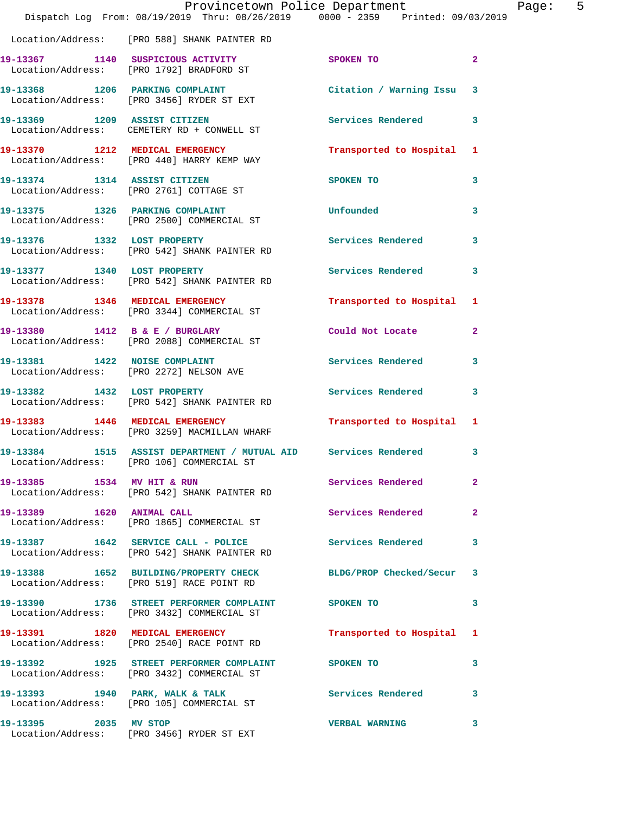|                               | Provincetown Police Department<br>Dispatch Log From: 08/19/2019 Thru: 08/26/2019 0000 - 2359 Printed: 09/03/2019 |                           |                         |
|-------------------------------|------------------------------------------------------------------------------------------------------------------|---------------------------|-------------------------|
|                               | Location/Address: [PRO 588] SHANK PAINTER RD                                                                     |                           |                         |
|                               | 19-13367 1140 SUSPICIOUS ACTIVITY<br>Location/Address: [PRO 1792] BRADFORD ST                                    | <b>SPOKEN TO</b>          | 2                       |
|                               | 19-13368 1206 PARKING COMPLAINT<br>Location/Address: [PRO 3456] RYDER ST EXT                                     | Citation / Warning Issu   | 3                       |
|                               | 19-13369 1209 ASSIST CITIZEN<br>Location/Address: CEMETERY RD + CONWELL ST                                       | <b>Services Rendered</b>  | 3                       |
|                               | 19-13370 1212 MEDICAL EMERGENCY<br>Location/Address: [PRO 440] HARRY KEMP WAY                                    | Transported to Hospital   | 1                       |
|                               | 19-13374 1314 ASSIST CITIZEN<br>Location/Address: [PRO 2761] COTTAGE ST                                          | SPOKEN TO                 | 3                       |
|                               | 19-13375 1326 PARKING COMPLAINT<br>Location/Address: [PRO 2500] COMMERCIAL ST                                    | Unfounded                 | 3                       |
| 19-13376 1332 LOST PROPERTY   | Location/Address: [PRO 542] SHANK PAINTER RD                                                                     | <b>Services Rendered</b>  | 3                       |
|                               | 19-13377 1340 LOST PROPERTY<br>Location/Address: [PRO 542] SHANK PAINTER RD                                      | <b>Services Rendered</b>  | 3                       |
|                               | 19-13378 1346 MEDICAL EMERGENCY<br>Location/Address: [PRO 3344] COMMERCIAL ST                                    | Transported to Hospital   | 1                       |
|                               | 19-13380 1412 B & E / BURGLARY<br>Location/Address: [PRO 2088] COMMERCIAL ST                                     | Could Not Locate          | 2                       |
| 19-13381 1422 NOISE COMPLAINT | Location/Address: [PRO 2272] NELSON AVE                                                                          | Services Rendered         | 3                       |
|                               | 19-13382 1432 LOST PROPERTY<br>Location/Address: [PRO 542] SHANK PAINTER RD                                      | Services Rendered         | 3                       |
|                               | 19-13383 1446 MEDICAL EMERGENCY<br>Location/Address: [PRO 3259] MACMILLAN WHARF                                  | Transported to Hospital 1 |                         |
|                               | 19-13384 1515 ASSIST DEPARTMENT / MUTUAL AID Services Rendered<br>Location/Address: [PRO 106] COMMERCIAL ST      |                           | 3                       |
| 19-13385 1534 MV HIT & RUN    | Location/Address: [PRO 542] SHANK PAINTER RD                                                                     | Services Rendered         | $\overline{\mathbf{2}}$ |
| 19-13389 1620 ANIMAL CALL     | Location/Address: [PRO 1865] COMMERCIAL ST                                                                       | Services Rendered         | 2                       |
|                               | 19-13387 1642 SERVICE CALL - POLICE<br>Location/Address: [PRO 542] SHANK PAINTER RD                              | <b>Services Rendered</b>  | 3                       |
|                               | 19-13388 1652 BUILDING/PROPERTY CHECK<br>Location/Address: [PRO 519] RACE POINT RD                               | BLDG/PROP Checked/Secur   | 3                       |
|                               | 19-13390 1736 STREET PERFORMER COMPLAINT SPOKEN TO<br>Location/Address: [PRO 3432] COMMERCIAL ST                 |                           | 3                       |
|                               | 19-13391 1820 MEDICAL EMERGENCY<br>Location/Address: [PRO 2540] RACE POINT RD                                    | Transported to Hospital   | 1                       |
|                               | 19-13392 1925 STREET PERFORMER COMPLAINT SPOKEN TO<br>Location/Address: [PRO 3432] COMMERCIAL ST                 |                           | 3                       |
|                               | 19-13393 1940 PARK, WALK & TALK<br>Location/Address: [PRO 105] COMMERCIAL ST                                     | <b>Services Rendered</b>  | 3                       |
| 19-13395 2035 MV STOP         | Location/Address: [PRO 3456] RYDER ST EXT                                                                        | <b>VERBAL WARNING</b>     | 3                       |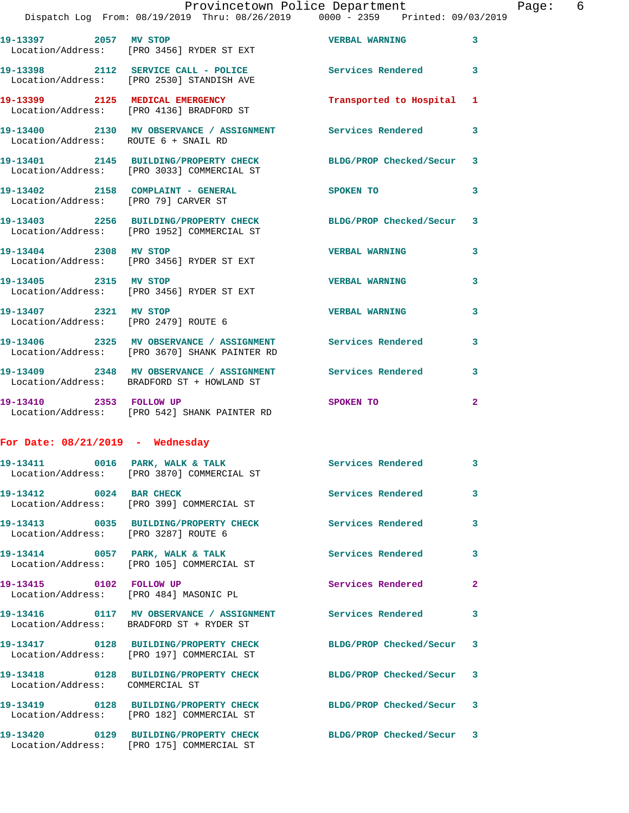| 19-13397 2057 MV STOP                            | Location/Address: [PRO 3456] RYDER ST EXT                                                          | <b>VERBAL WARNING</b>     | $\mathbf{3}$               |
|--------------------------------------------------|----------------------------------------------------------------------------------------------------|---------------------------|----------------------------|
|                                                  | 19-13398 2112 SERVICE CALL - POLICE<br>Location/Address: [PRO 2530] STANDISH AVE                   | <b>Services Rendered</b>  | $\overline{\phantom{a}}$ 3 |
|                                                  | 19-13399 2125 MEDICAL EMERGENCY<br>Location/Address: [PRO 4136] BRADFORD ST                        | Transported to Hospital 1 |                            |
| Location/Address: ROUTE 6 + SNAIL RD             | 19-13400 2130 MV OBSERVANCE / ASSIGNMENT Services Rendered 3                                       |                           |                            |
| 19-13401                                         | 2145 BUILDING/PROPERTY CHECK<br>Location/Address: [PRO 3033] COMMERCIAL ST                         | BLDG/PROP Checked/Secur 3 |                            |
| Location/Address: [PRO 79] CARVER ST             | 19-13402 2158 COMPLAINT - GENERAL                                                                  | SPOKEN TO                 | 3                          |
|                                                  | 19-13403 2256 BUILDING/PROPERTY CHECK<br>Location/Address: [PRO 1952] COMMERCIAL ST                | BLDG/PROP Checked/Secur 3 |                            |
| 19-13404 2308 MV STOP                            | Location/Address: [PRO 3456] RYDER ST EXT                                                          | <b>VERBAL WARNING</b>     | 3                          |
| 19-13405 2315 MV STOP                            | Location/Address: [PRO 3456] RYDER ST EXT                                                          | <b>VERBAL WARNING</b>     | 3                          |
| 19-13407 2321 MV STOP                            | Location/Address: [PRO 2479] ROUTE 6                                                               | <b>VERBAL WARNING</b>     | 3                          |
| 19-13406                                         | 2325 MV OBSERVANCE / ASSIGNMENT Services Rendered<br>Location/Address: [PRO 3670] SHANK PAINTER RD |                           | 3                          |
|                                                  | 19-13409 2348 MV OBSERVANCE / ASSIGNMENT<br>Location/Address: BRADFORD ST + HOWLAND ST             | <b>Services Rendered</b>  | 3                          |
| 19-13410 2353 FOLLOW UP                          | Location/Address: [PRO 542] SHANK PAINTER RD                                                       | SPOKEN TO                 | $\overline{2}$             |
| For Date: $08/21/2019$ - Wednesday               |                                                                                                    |                           |                            |
|                                                  | $19-13411$ 0016 PARK, WALK & TALK<br>Location/Address: [PRO 3870] COMMERCIAL ST                    | <b>Services Rendered</b>  | $\overline{\mathbf{3}}$    |
| 19-13412 0024 BAR CHECK                          | Location/Address: [PRO 399] COMMERCIAL ST                                                          | <b>Services Rendered</b>  | 3                          |
| 19-13413<br>Location/Address: [PRO 3287] ROUTE 6 | 0035 BUILDING/PROPERTY CHECK                                                                       | Services Rendered 3       |                            |
|                                                  |                                                                                                    |                           |                            |

**19-13414 0057 PARK, WALK & TALK Services Rendered 3** 

**19-13415 0102 FOLLOW UP Services Rendered 2** 

Location/Address: COMMERCIAL ST

Location/Address: [PRO 182] COMMERCIAL ST

Location/Address: [PRO 175] COMMERCIAL ST

Location/Address: [PRO 105] COMMERCIAL ST

Location/Address: [PRO 484] MASONIC PL

Location/Address: BRADFORD ST + RYDER ST

**19-13417 0128 BUILDING/PROPERTY CHECK BLDG/PROP Checked/Secur 3**  Location/Address: [PRO 197] COMMERCIAL ST

**19-13419 0128 BUILDING/PROPERTY CHECK BLDG/PROP Checked/Secur 3** 

**19-13420 0129 BUILDING/PROPERTY CHECK BLDG/PROP Checked/Secur 3** 

**19-13416 0117 MV OBSERVANCE / ASSIGNMENT Services Rendered 3** 

**19-13418 0128 BUILDING/PROPERTY CHECK BLDG/PROP Checked/Secur 3**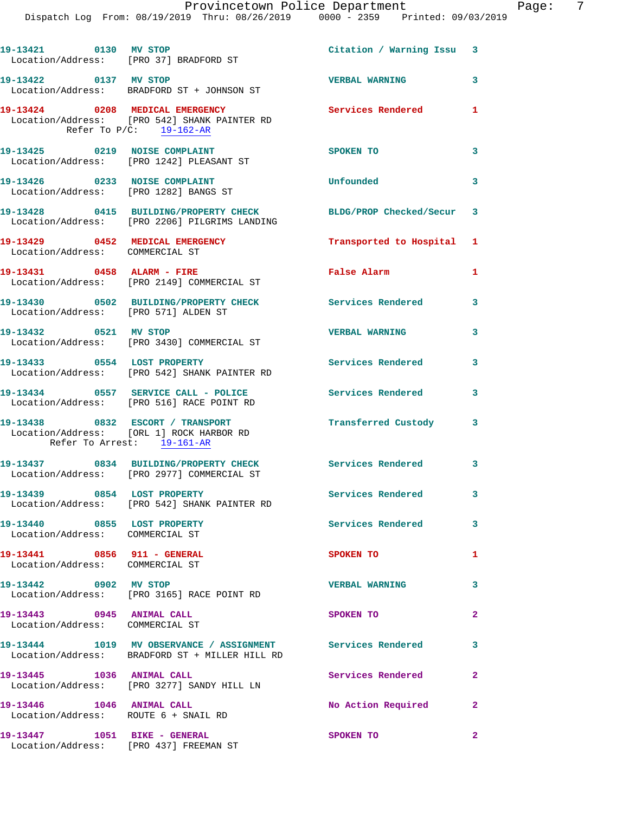| 19-13421 0130 MV STOP                                              | Location/Address: [PRO 37] BRADFORD ST                                                                           | Citation / Warning Issu 3 |                         |
|--------------------------------------------------------------------|------------------------------------------------------------------------------------------------------------------|---------------------------|-------------------------|
| 19-13422 0137 MV STOP                                              | Location/Address: BRADFORD ST + JOHNSON ST                                                                       | <b>VERBAL WARNING</b>     | $\overline{\mathbf{3}}$ |
|                                                                    | 19-13424 0208 MEDICAL EMERGENCY<br>Location/Address: [PRO 542] SHANK PAINTER RD<br>Refer To $P/C$ : 19-162-AR    | Services Rendered 1       |                         |
|                                                                    | 19-13425 0219 NOISE COMPLAINT<br>Location/Address: [PRO 1242] PLEASANT ST                                        | SPOKEN TO                 | $\mathbf{3}$            |
| 19-13426 0233 NOISE COMPLAINT                                      | Location/Address: [PRO 1282] BANGS ST                                                                            | Unfounded                 | $\mathbf{3}$            |
|                                                                    | 19-13428 0415 BUILDING/PROPERTY CHECK BLDG/PROP Checked/Secur 3<br>Location/Address: [PRO 2206] PILGRIMS LANDING |                           |                         |
| 19-13429 0452 MEDICAL EMERGENCY<br>Location/Address: COMMERCIAL ST |                                                                                                                  | Transported to Hospital 1 |                         |
|                                                                    | 19-13431 0458 ALARM - FIRE<br>Location/Address: [PRO 2149] COMMERCIAL ST                                         | <b>False Alarm</b>        | 1                       |
| Location/Address: [PRO 571] ALDEN ST                               | 19-13430 0502 BUILDING/PROPERTY CHECK                                                                            | Services Rendered 3       |                         |
| 19-13432 0521 MV STOP                                              | Location/Address: [PRO 3430] COMMERCIAL ST                                                                       | <b>VERBAL WARNING</b>     | $\mathbf{3}$            |
| 19-13433 0554 LOST PROPERTY                                        | Location/Address: [PRO 542] SHANK PAINTER RD                                                                     | <b>Services Rendered</b>  | $\mathbf{3}$            |
|                                                                    | 19-13434 0557 SERVICE CALL - POLICE<br>Location/Address: [PRO 516] RACE POINT RD                                 | Services Rendered         | 3                       |
| Refer To Arrest: 19-161-AR                                         | 19-13438 0832 ESCORT / TRANSPORT<br>Location/Address: [ORL 1] ROCK HARBOR RD                                     | Transferred Custody 3     |                         |
|                                                                    | 19-13437 0834 BUILDING/PROPERTY CHECK Services Rendered 3<br>Location/Address: [PRO 2977] COMMERCIAL ST          |                           |                         |
| 19-13439 0854 LOST PROPERTY                                        | Location/Address: [PRO 542] SHANK PAINTER RD                                                                     | Services Rendered 3       |                         |
| 19-13440 0855 LOST PROPERTY<br>Location/Address: COMMERCIAL ST     |                                                                                                                  | <b>Services Rendered</b>  | $\mathbf{3}$            |
| 19-13441 0856 911 - GENERAL<br>Location/Address: COMMERCIAL ST     |                                                                                                                  | SPOKEN TO                 | 1                       |
| 19-13442 0902 MV STOP                                              | Location/Address: [PRO 3165] RACE POINT RD                                                                       | <b>VERBAL WARNING</b>     | 3                       |
| 19-13443 0945 ANIMAL CALL<br>Location/Address: COMMERCIAL ST       |                                                                                                                  | SPOKEN TO                 | $\mathbf{2}$            |
|                                                                    | 19-13444 1019 MV OBSERVANCE / ASSIGNMENT Services Rendered<br>Location/Address: BRADFORD ST + MILLER HILL RD     |                           | 3                       |
| 19-13445 1036 ANIMAL CALL                                          | Location/Address: [PRO 3277] SANDY HILL LN                                                                       | Services Rendered         | $\overline{2}$          |
| 19-13446 1046 ANIMAL CALL<br>Location/Address: ROUTE 6 + SNAIL RD  |                                                                                                                  | No Action Required 2      |                         |
| 19-13447 1051 BIKE - GENERAL                                       |                                                                                                                  | SPOKEN TO                 | $\mathbf{2}$            |

Location/Address: [PRO 437] FREEMAN ST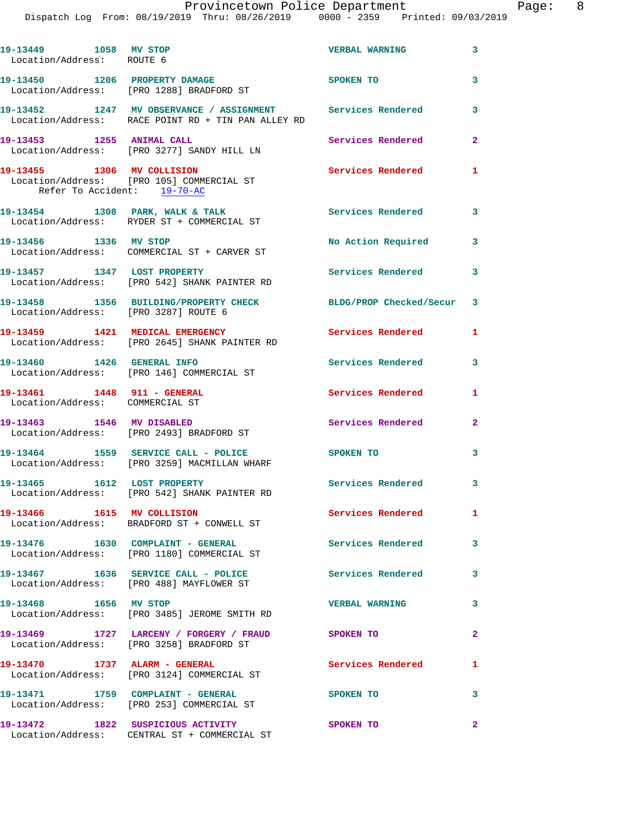## Provincetown Police Department Fage: 8

Dispatch Log From: 08/19/2019 Thru: 08/26/2019 0000 - 2359 Printed: 09/03/2019

| 19-13449 1058 MV STOP<br>Location/Address: ROUTE 6             |                                                                                                                  | <b>VERBAL WARNING</b>     | 3              |
|----------------------------------------------------------------|------------------------------------------------------------------------------------------------------------------|---------------------------|----------------|
|                                                                | 19-13450 1206 PROPERTY DAMAGE<br>Location/Address: [PRO 1288] BRADFORD ST                                        | SPOKEN TO                 | 3              |
|                                                                | 19-13452 1247 MV OBSERVANCE / ASSIGNMENT Services Rendered<br>Location/Address: RACE POINT RD + TIN PAN ALLEY RD |                           | 3              |
| 19-13453 1255 ANIMAL CALL                                      | Location/Address: [PRO 3277] SANDY HILL LN                                                                       | Services Rendered         | $\mathbf{2}$   |
| 19-13455 1306 MV COLLISION<br>Refer To Accident: 19-70-AC      | Location/Address: [PRO 105] COMMERCIAL ST                                                                        | Services Rendered         | $\mathbf{1}$   |
|                                                                | 19-13454 1308 PARK, WALK & TALK<br>Location/Address: RYDER ST + COMMERCIAL ST                                    | Services Rendered 3       |                |
| 19-13456 1336 MV STOP                                          | Location/Address: COMMERCIAL ST + CARVER ST                                                                      | No Action Required        | 3              |
| 19-13457 1347 LOST PROPERTY                                    | Location/Address: [PRO 542] SHANK PAINTER RD                                                                     | Services Rendered 3       |                |
| Location/Address: [PRO 3287] ROUTE 6                           | 19-13458 1356 BUILDING/PROPERTY CHECK                                                                            | BLDG/PROP Checked/Secur 3 |                |
| 19-13459 1421 MEDICAL EMERGENCY                                | Location/Address: [PRO 2645] SHANK PAINTER RD                                                                    | Services Rendered         | 1              |
|                                                                | 19-13460 1426 GENERAL INFO<br>Location/Address: [PRO 146] COMMERCIAL ST                                          | <b>Services Rendered</b>  | 3              |
| 19-13461 1448 911 - GENERAL<br>Location/Address: COMMERCIAL ST |                                                                                                                  | Services Rendered         | 1              |
|                                                                | 19-13463 1546 MV DISABLED<br>Location/Address: [PRO 2493] BRADFORD ST                                            | Services Rendered         | $\overline{a}$ |
|                                                                | 19-13464 1559 SERVICE CALL - POLICE<br>Location/Address: [PRO 3259] MACMILLAN WHARF                              | SPOKEN TO                 | 3              |
|                                                                | 19-13465 1612 LOST PROPERTY<br>Location/Address: [PRO 542] SHANK PAINTER RD                                      | Services Rendered 3       |                |
| 19-13466 1615 MV COLLISION                                     | Location/Address: BRADFORD ST + CONWELL ST                                                                       | Services Rendered         | $\mathbf{1}$   |
|                                                                | 19-13476   1630   COMPLAINT - GENERAL<br>Location/Address: [PRO 1180] COMMERCIAL ST                              | <b>Services Rendered</b>  | 3              |
|                                                                | 19-13467 1636 SERVICE CALL - POLICE<br>Location/Address: [PRO 488] MAYFLOWER ST                                  | Services Rendered         | 3              |
| 19-13468 1656 MV STOP                                          | Location/Address: [PRO 3485] JEROME SMITH RD                                                                     | <b>VERBAL WARNING</b>     | 3              |
|                                                                | 19-13469 1727 LARCENY / FORGERY / FRAUD SPOKEN TO<br>Location/Address: [PRO 3258] BRADFORD ST                    |                           | $\overline{2}$ |
|                                                                | 19-13470 1737 ALARM - GENERAL<br>Location/Address: [PRO 3124] COMMERCIAL ST                                      | Services Rendered         | 1              |
|                                                                | 19-13471 1759 COMPLAINT - GENERAL<br>Location/Address: [PRO 253] COMMERCIAL ST                                   | SPOKEN TO                 | 3              |
|                                                                |                                                                                                                  | SPOKEN TO                 | $\mathbf{2}$   |

Location/Address: CENTRAL ST + COMMERCIAL ST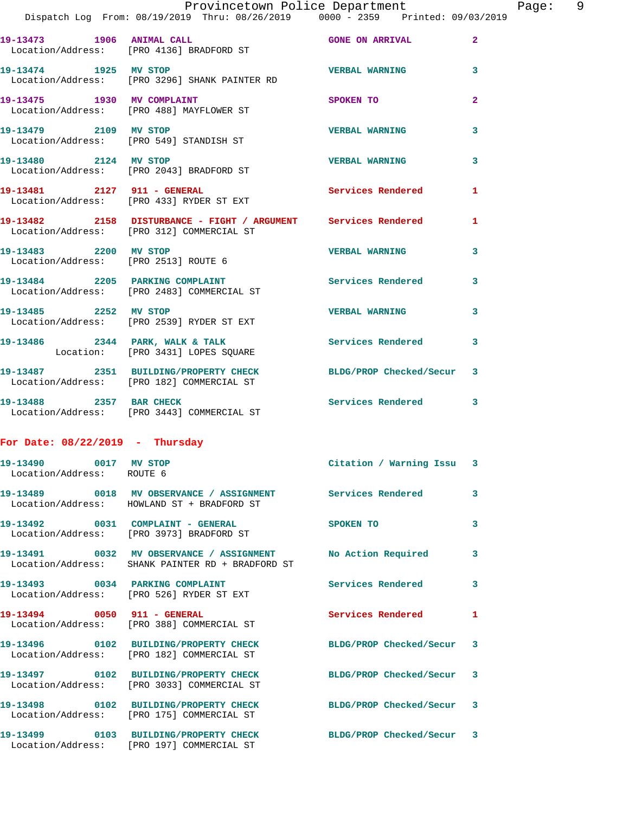|                                                               | Provincetown Police Department<br>Dispatch Log From: 08/19/2019 Thru: 08/26/2019 0000 - 2359 Printed: 09/03/2019 |                           |                         |
|---------------------------------------------------------------|------------------------------------------------------------------------------------------------------------------|---------------------------|-------------------------|
|                                                               |                                                                                                                  |                           |                         |
|                                                               | 19-13473 1906 ANIMAL CALL<br>Location/Address: [PRO 4136] BRADFORD ST                                            | <b>GONE ON ARRIVAL</b>    | $\mathbf{2}$            |
| 19-13474 1925 MV STOP                                         | Location/Address: [PRO 3296] SHANK PAINTER RD                                                                    | <b>VERBAL WARNING</b>     | 3                       |
| 19-13475 1930 MV COMPLAINT                                    | Location/Address: [PRO 488] MAYFLOWER ST                                                                         | <b>SPOKEN TO</b>          | $\overline{\mathbf{2}}$ |
| 19-13479 2109 MV STOP                                         | Location/Address: [PRO 549] STANDISH ST                                                                          | <b>VERBAL WARNING</b>     | 3                       |
| 19-13480 2124 MV STOP                                         | Location/Address: [PRO 2043] BRADFORD ST                                                                         | <b>VERBAL WARNING</b>     | 3                       |
|                                                               | 19-13481 2127 911 - GENERAL<br>Location/Address: [PRO 433] RYDER ST EXT                                          | Services Rendered         | 1                       |
|                                                               | 19-13482 2158 DISTURBANCE - FIGHT / ARGUMENT Services Rendered<br>Location/Address: [PRO 312] COMMERCIAL ST      |                           | 1                       |
| 19-13483 2200 MV STOP<br>Location/Address: [PRO 2513] ROUTE 6 |                                                                                                                  | <b>VERBAL WARNING</b>     | 3                       |
|                                                               | 19-13484 2205 PARKING COMPLAINT<br>Location/Address: [PRO 2483] COMMERCIAL ST                                    | Services Rendered         | 3                       |
|                                                               | 19-13485 2252 MV STOP<br>Location/Address: [PRO 2539] RYDER ST EXT                                               | <b>VERBAL WARNING</b>     | 3                       |
|                                                               | 19-13486 2344 PARK, WALK & TALK<br>Location: [PRO 3431] LOPES SQUARE                                             | <b>Services Rendered</b>  | 3                       |
|                                                               | 19-13487 2351 BUILDING/PROPERTY CHECK BLDG/PROP Checked/Secur<br>Location/Address: [PRO 182] COMMERCIAL ST       |                           | 3                       |
| 19-13488 2357 BAR CHECK                                       | Location/Address: [PRO 3443] COMMERCIAL ST                                                                       | <b>Services Rendered</b>  | 3                       |
| For Date: $08/22/2019$ - Thursday                             |                                                                                                                  |                           |                         |
| 19-13490 0017 MV STOP<br>Location/Address: ROUTE 6            |                                                                                                                  | Citation / Warning Issu 3 |                         |
|                                                               | 19-13489 0018 MV OBSERVANCE / ASSIGNMENT Services Rendered<br>Location/Address: HOWLAND ST + BRADFORD ST         |                           | 3                       |
|                                                               | 19-13492 0031 COMPLAINT - GENERAL<br>Location/Address: [PRO 3973] BRADFORD ST                                    | <b>SPOKEN TO</b>          | 3                       |
|                                                               | 19-13491 0032 MV OBSERVANCE / ASSIGNMENT<br>Location/Address: SHANK PAINTER RD + BRADFORD ST                     | No Action Required        | 3                       |
|                                                               | 19-13493 0034 PARKING COMPLAINT<br>Location/Address: [PRO 526] RYDER ST EXT                                      | <b>Services Rendered</b>  | 3                       |
|                                                               | 19-13494 0050 911 - GENERAL<br>Location/Address: [PRO 388] COMMERCIAL ST                                         | Services Rendered         | 1                       |
|                                                               | 19-13496 0102 BUILDING/PROPERTY CHECK BLDG/PROP Checked/Secur<br>Location/Address: [PRO 182] COMMERCIAL ST       |                           | 3                       |
|                                                               | 19-13497 0102 BUILDING/PROPERTY CHECK<br>Location/Address: [PRO 3033] COMMERCIAL ST                              | BLDG/PROP Checked/Secur   | 3                       |
|                                                               | 19-13498 0102 BUILDING/PROPERTY CHECK<br>Location/Address: [PRO 175] COMMERCIAL ST                               | BLDG/PROP Checked/Secur   | 3                       |
|                                                               | 19-13499 0103 BUILDING/PROPERTY CHECK<br>Location/Address: [PRO 197] COMMERCIAL ST                               | BLDG/PROP Checked/Secur   | 3                       |

Page: 9<br> $2019$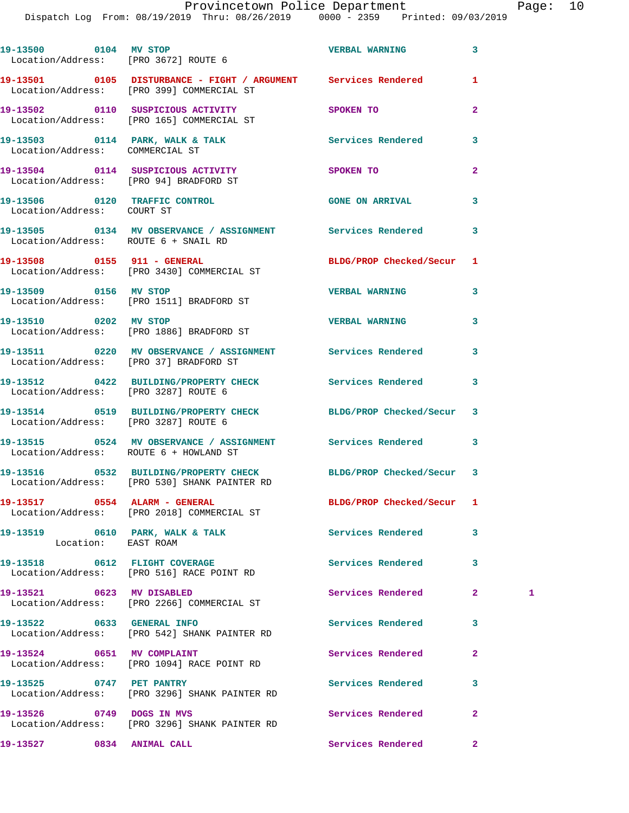|                                 | 19-13500 0104 MV STOP<br>Location/Address: [PRO 3672] ROUTE 6                                                   | <b>VERBAL WARNING</b>     | 3              |   |
|---------------------------------|-----------------------------------------------------------------------------------------------------------------|---------------------------|----------------|---|
|                                 | 19-13501 0105 DISTURBANCE - FIGHT / ARGUMENT Services Rendered<br>Location/Address: [PRO 399] COMMERCIAL ST     |                           | 1              |   |
|                                 | 19-13502 0110 SUSPICIOUS ACTIVITY<br>Location/Address: [PRO 165] COMMERCIAL ST                                  | SPOKEN TO                 | $\mathbf{2}$   |   |
| Location/Address: COMMERCIAL ST | 19-13503 0114 PARK, WALK & TALK                                                                                 | Services Rendered         | 3              |   |
|                                 | 19-13504 0114 SUSPICIOUS ACTIVITY                                                                               | SPOKEN TO                 | $\overline{a}$ |   |
|                                 | Location/Address: [PRO 94] BRADFORD ST<br>19-13506 0120 TRAFFIC CONTROL                                         | <b>GONE ON ARRIVAL</b>    | 3              |   |
| Location/Address: COURT ST      | 19-13505 0134 MV OBSERVANCE / ASSIGNMENT Services Rendered                                                      |                           | 3              |   |
|                                 | Location/Address: ROUTE 6 + SNAIL RD<br>19-13508 0155 911 - GENERAL                                             | BLDG/PROP Checked/Secur   | 1              |   |
|                                 | Location/Address: [PRO 3430] COMMERCIAL ST                                                                      |                           |                |   |
|                                 | 19-13509 0156 MV STOP<br>Location/Address: [PRO 1511] BRADFORD ST                                               | <b>VERBAL WARNING</b>     | 3              |   |
| 19-13510 0202 MV STOP           | Location/Address: [PRO 1886] BRADFORD ST                                                                        | <b>VERBAL WARNING</b>     | 3              |   |
|                                 | 19-13511 0220 MV OBSERVANCE / ASSIGNMENT Services Rendered<br>Location/Address: [PRO 37] BRADFORD ST            |                           | 3              |   |
|                                 | 19-13512 0422 BUILDING/PROPERTY CHECK Services Rendered<br>Location/Address: [PRO 3287] ROUTE 6                 |                           | 3              |   |
|                                 | 19-13514 0519 BUILDING/PROPERTY CHECK BLDG/PROP Checked/Secur<br>Location/Address: [PRO 3287] ROUTE 6           |                           | 3              |   |
|                                 | 19-13515 0524 MV OBSERVANCE / ASSIGNMENT Services Rendered<br>Location/Address: ROUTE 6 + HOWLAND ST            |                           | 3              |   |
|                                 | 19-13516 0532 BUILDING/PROPERTY CHECK BLDG/PROP Checked/Secur 3<br>Location/Address: [PRO 530] SHANK PAINTER RD |                           |                |   |
|                                 | 19-13517 0554 ALARM - GENERAL<br>Location/Address: [PRO 2018] COMMERCIAL ST                                     | BLDG/PROP Checked/Secur 1 |                |   |
| Location: EAST ROAM             | 19-13519 0610 PARK, WALK & TALK                                                                                 | <b>Services Rendered</b>  | 3              |   |
|                                 | 19-13518 0612 FLIGHT COVERAGE<br>Location/Address: [PRO 516] RACE POINT RD                                      | Services Rendered         | 3              |   |
| 19-13521 0623 MV DISABLED       | Location/Address: [PRO 2266] COMMERCIAL ST                                                                      | Services Rendered         | $\mathbf{2}$   | 1 |
| 19-13522 0633 GENERAL INFO      | Location/Address: [PRO 542] SHANK PAINTER RD                                                                    | Services Rendered         | 3              |   |
| 19-13524 0651 MV COMPLAINT      | Location/Address: [PRO 1094] RACE POINT RD                                                                      | Services Rendered         | $\mathbf{2}$   |   |
| 19-13525 0747 PET PANTRY        | Location/Address: [PRO 3296] SHANK PAINTER RD                                                                   | Services Rendered         | 3              |   |
| 19-13526 0749 DOGS IN MVS       | Location/Address: [PRO 3296] SHANK PAINTER RD                                                                   | Services Rendered         | $\mathbf{2}$   |   |
| 19-13527 0834 ANIMAL CALL       |                                                                                                                 | Services Rendered         | $\mathbf{2}^-$ |   |
|                                 |                                                                                                                 |                           |                |   |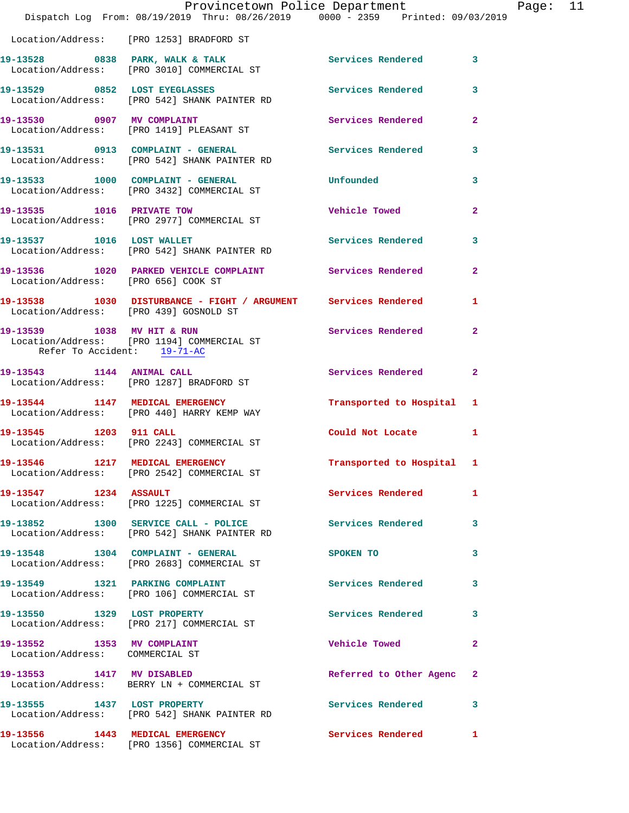|                                                               | Provincetown Police Department<br>Dispatch Log From: 08/19/2019 Thru: 08/26/2019 0000 - 2359 Printed: 09/03/2019      |                           |                |
|---------------------------------------------------------------|-----------------------------------------------------------------------------------------------------------------------|---------------------------|----------------|
|                                                               | Location/Address: [PRO 1253] BRADFORD ST                                                                              |                           |                |
|                                                               | 19-13528 0838 PARK, WALK & TALK Services Rendered<br>Location/Address: [PRO 3010] COMMERCIAL ST                       |                           | $\mathbf{3}$   |
|                                                               | 19-13529 0852 LOST EYEGLASSES<br>Location/Address: [PRO 542] SHANK PAINTER RD                                         | Services Rendered         | 3              |
|                                                               | 19-13530 0907 MV COMPLAINT<br>Location/Address: [PRO 1419] PLEASANT ST                                                | Services Rendered         | $\mathbf{2}$   |
|                                                               | 19-13531      0913   COMPLAINT - GENERAL          Services Rendered<br>Location/Address:   [PRO 542] SHANK PAINTER RD |                           | 3              |
|                                                               | 19-13533 1000 COMPLAINT - GENERAL<br>Location/Address: [PRO 3432] COMMERCIAL ST                                       | Unfounded                 | 3              |
|                                                               | 19-13535 1016 PRIVATE TOW<br>Location/Address: [PRO 2977] COMMERCIAL ST                                               | <b>Vehicle Towed</b>      | $\mathbf{2}$   |
|                                                               | 19-13537 1016 LOST WALLET<br>Location/Address: [PRO 542] SHANK PAINTER RD                                             | Services Rendered         | $\mathbf{3}$   |
| Location/Address: [PRO 656] COOK ST                           | 19-13536 1020 PARKED VEHICLE COMPLAINT Services Rendered                                                              |                           | $\overline{2}$ |
| Location/Address: [PRO 439] GOSNOLD ST                        | 19-13538 1030 DISTURBANCE - FIGHT / ARGUMENT Services Rendered                                                        |                           | $\mathbf{1}$   |
| Refer To Accident: 19-71-AC                                   | 19-13539 1038 MV HIT & RUN<br>Location/Address: [PRO 1194] COMMERCIAL ST                                              | <b>Services Rendered</b>  | $\mathbf{2}$   |
|                                                               | 19-13543 1144 ANIMAL CALL<br>Location/Address: [PRO 1287] BRADFORD ST                                                 | Services Rendered         | $\mathbf{2}$   |
|                                                               | 19-13544 1147 MEDICAL EMERGENCY<br>Location/Address: [PRO 440] HARRY KEMP WAY                                         | Transported to Hospital 1 |                |
| 19-13545 1203 911 CALL                                        | Location/Address: [PRO 2243] COMMERCIAL ST                                                                            | Could Not Locate          | 1              |
|                                                               | 19-13546 1217 MEDICAL EMERGENCY<br>Location/Address: [PRO 2542] COMMERCIAL ST                                         | Transported to Hospital 1 |                |
| 19-13547 1234 ASSAULT                                         | Location/Address: [PRO 1225] COMMERCIAL ST                                                                            | <b>Services Rendered</b>  | 1              |
|                                                               | 19-13852 1300 SERVICE CALL - POLICE<br>Location/Address: [PRO 542] SHANK PAINTER RD                                   | <b>Services Rendered</b>  | 3              |
|                                                               | 19-13548 1304 COMPLAINT - GENERAL<br>Location/Address: [PRO 2683] COMMERCIAL ST                                       | SPOKEN TO                 | 3              |
|                                                               | 19-13549 1321 PARKING COMPLAINT<br>Location/Address: [PRO 106] COMMERCIAL ST                                          | <b>Services Rendered</b>  | 3              |
| 19-13550 1329 LOST PROPERTY                                   | Location/Address: [PRO 217] COMMERCIAL ST                                                                             | Services Rendered         | 3              |
| 19-13552 1353 MV COMPLAINT<br>Location/Address: COMMERCIAL ST |                                                                                                                       | <b>Vehicle Towed</b>      | $\mathbf{2}$   |
| 19-13553 1417 MV DISABLED                                     | Location/Address: BERRY LN + COMMERCIAL ST                                                                            | Referred to Other Agenc   | 2              |
|                                                               | 19-13555 1437 LOST PROPERTY<br>Location/Address: [PRO 542] SHANK PAINTER RD                                           | Services Rendered         | 3              |
| 19-13556 1443 MEDICAL EMERGENCY                               | Location/Address: [PRO 1356] COMMERCIAL ST                                                                            | Services Rendered         | 1              |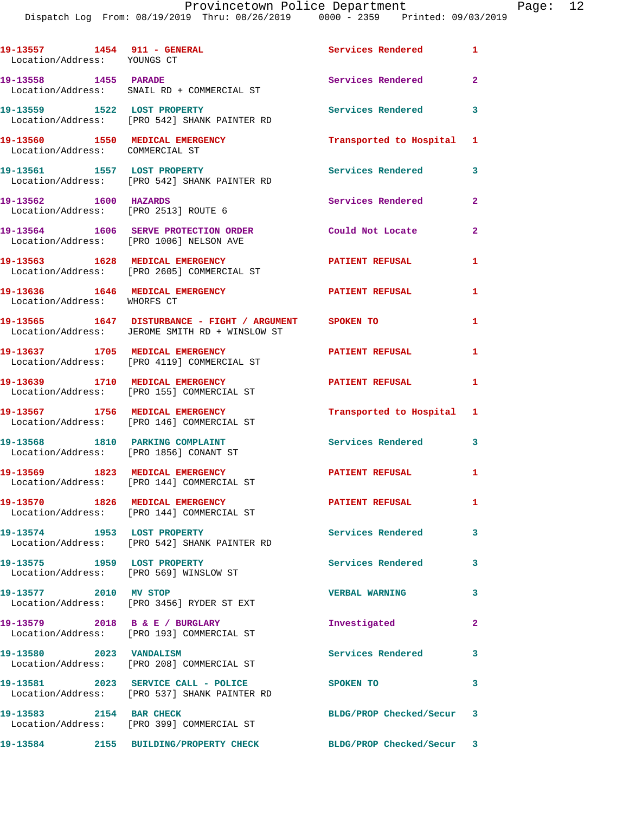Dispatch Log From: 08/19/2019 Thru: 08/26/2019 0000 - 2359 Printed: 09/03/2019

19-13557 1454 911 - GENERAL **Services Rendered** 1 Location/Address: YOUNGS CT **19-13558 1455 PARADE Services Rendered 2**  Location/Address: SNAIL RD + COMMERCIAL ST **19-13559 1522 LOST PROPERTY Services Rendered 3**  Location/Address: [PRO 542] SHANK PAINTER RD **19-13560 1550 MEDICAL EMERGENCY Transported to Hospital 1**  Location/Address: COMMERCIAL ST **19-13561 1557 LOST PROPERTY Services Rendered 3**  Location/Address: [PRO 542] SHANK PAINTER RD 19-13562 1600 HAZARDS Services Rendered 2 Location/Address: [PRO 2513] ROUTE 6 **19-13564 1606 SERVE PROTECTION ORDER Could Not Locate 2**  Location/Address: [PRO 1006] NELSON AVE **19-13563 1628 MEDICAL EMERGENCY 1 PATIENT REFUSAL 1**  Location/Address: [PRO 2605] COMMERCIAL ST **19-13636 1646 MEDICAL EMERGENCY 1 PATIENT REFUSAL 1**  Location/Address: WHORFS CT **19-13565 1647 DISTURBANCE - FIGHT / ARGUMENT SPOKEN TO 1**  Location/Address: JEROME SMITH RD + WINSLOW ST **19-13637 1705 MEDICAL EMERGENCY PATIENT REFUSAL 1**  Location/Address: [PRO 4119] COMMERCIAL ST **19-13639 1710 MEDICAL EMERGENCY PATIENT REFUSAL 1**  Location/Address: [PRO 155] COMMERCIAL ST **19-13567 1756 MEDICAL EMERGENCY Transported to Hospital 1**  Location/Address: [PRO 146] COMMERCIAL ST **19-13568 1810 PARKING COMPLAINT Services Rendered 3**  Location/Address: [PRO 1856] CONANT ST **19-13569 1823 MEDICAL EMERGENCY PATIENT REFUSAL 1**  Location/Address: [PRO 144] COMMERCIAL ST **19-13570 1826 MEDICAL EMERGENCY 1 PATIENT REFUSAL 1**  Location/Address: [PRO 144] COMMERCIAL ST **19-13574 1953 LOST PROPERTY Services Rendered 3**  Location/Address: [PRO 542] SHANK PAINTER RD **19-13575 1959 LOST PROPERTY Services Rendered 3**  Location/Address: [PRO 569] WINSLOW ST **19-13577 2010 MV STOP VERBAL WARNING 3**  Location/Address: [PRO 3456] RYDER ST EXT **19-13579 2018 B & E / BURGLARY Investigated 2**  Location/Address: [PRO 193] COMMERCIAL ST **19-13580 2023 VANDALISM Services Rendered 3**  Location/Address: [PRO 208] COMMERCIAL ST **19-13581 2023 SERVICE CALL - POLICE SPOKEN TO 3**  Location/Address: [PRO 537] SHANK PAINTER RD **19-13583 2154 BAR CHECK BLDG/PROP Checked/Secur 3**  Location/Address: [PRO 399] COMMERCIAL ST **19-13584 2155 BUILDING/PROPERTY CHECK BLDG/PROP Checked/Secur 3**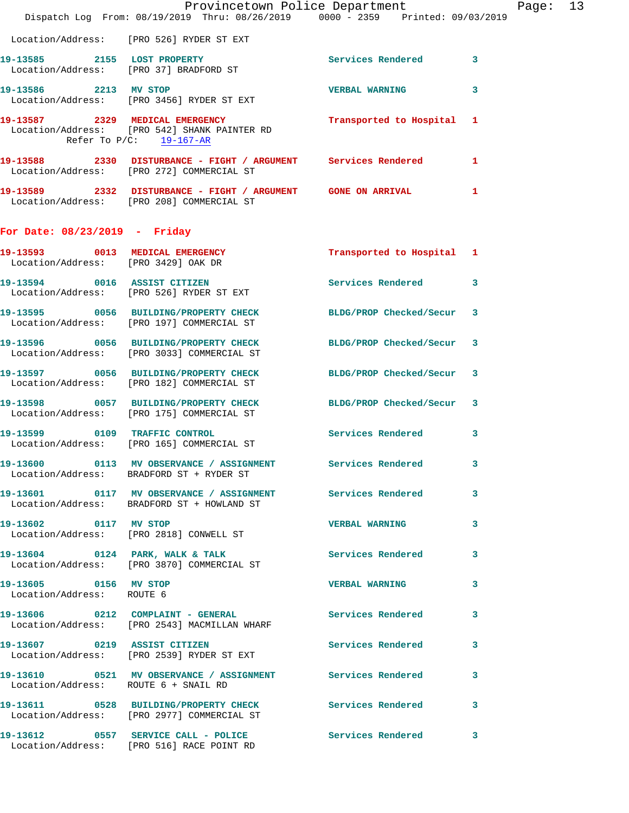|                                                    | Dispatch Log From: 08/19/2019 Thru: 08/26/2019 0000 - 2359 Printed: 09/03/2019                                | Provincetown Police Department Page: 13 |   |  |
|----------------------------------------------------|---------------------------------------------------------------------------------------------------------------|-----------------------------------------|---|--|
|                                                    | Location/Address: [PRO 526] RYDER ST EXT                                                                      |                                         |   |  |
|                                                    | 19-13585 2155 LOST PROPERTY<br>Location/Address: [PRO 37] BRADFORD ST                                         | Services Rendered 3                     |   |  |
|                                                    | 19-13586 2213 MV STOP<br>Location/Address: [PRO 3456] RYDER ST EXT                                            | <b>VERBAL WARNING</b>                   | 3 |  |
| Refer To $P/C$ : 19-167-AR                         | 19-13587 2329 MEDICAL EMERGENCY Transported to Hospital 1<br>Location/Address: [PRO 542] SHANK PAINTER RD     |                                         |   |  |
|                                                    | 19-13588 2330 DISTURBANCE - FIGHT / ARGUMENT Services Rendered 1<br>Location/Address: [PRO 272] COMMERCIAL ST |                                         |   |  |
|                                                    | 19-13589 2332 DISTURBANCE - FIGHT / ARGUMENT GONE ON ARRIVAL<br>Location/Address: [PRO 208] COMMERCIAL ST     |                                         | 1 |  |
| For Date: $08/23/2019$ - Friday                    |                                                                                                               |                                         |   |  |
| Location/Address: [PRO 3429] OAK DR                | 19-13593 0013 MEDICAL EMERGENCY Transported to Hospital 1                                                     |                                         |   |  |
|                                                    | 19-13594 0016 ASSIST CITIZEN<br>Location/Address: [PRO 526] RYDER ST EXT                                      | Services Rendered 3                     |   |  |
|                                                    | 19-13595 0056 BUILDING/PROPERTY CHECK BLDG/PROP Checked/Secur 3<br>Location/Address: [PRO 197] COMMERCIAL ST  |                                         |   |  |
|                                                    | 19-13596 0056 BUILDING/PROPERTY CHECK BLDG/PROP Checked/Secur 3<br>Location/Address: [PRO 3033] COMMERCIAL ST |                                         |   |  |
|                                                    | 19-13597 0056 BUILDING/PROPERTY CHECK BLDG/PROP Checked/Secur 3<br>Location/Address: [PRO 182] COMMERCIAL ST  |                                         |   |  |
|                                                    | 19-13598 0057 BUILDING/PROPERTY CHECK BLDG/PROP Checked/Secur 3<br>Location/Address: [PRO 175] COMMERCIAL ST  |                                         |   |  |
|                                                    | 19-13599 0109 TRAFFIC CONTROL<br>Location/Address: [PRO 165] COMMERCIAL ST                                    | Services Rendered 3                     |   |  |
|                                                    | 19-13600 0113 MV OBSERVANCE / ASSIGNMENT Services Rendered 3<br>Location/Address: BRADFORD ST + RYDER ST      |                                         |   |  |
|                                                    | 19-13601 0117 MV OBSERVANCE / ASSIGNMENT Services Rendered<br>Location/Address: BRADFORD ST + HOWLAND ST      |                                         | 3 |  |
| 19-13602 0117 MV STOP                              | Location/Address: [PRO 2818] CONWELL ST                                                                       | <b>VERBAL WARNING</b>                   | 3 |  |
|                                                    | 19-13604 0124 PARK, WALK & TALK Services Rendered<br>Location/Address: [PRO 3870] COMMERCIAL ST               |                                         | 3 |  |
| 19-13605 0156 MV STOP<br>Location/Address: ROUTE 6 |                                                                                                               | VERBAL WARNING 3                        |   |  |
|                                                    | 19-13606 0212 COMPLAINT - GENERAL Services Rendered<br>Location/Address: [PRO 2543] MACMILLAN WHARF           |                                         | 3 |  |
|                                                    | 19-13607 0219 ASSIST CITIZEN<br>Location/Address: [PRO 2539] RYDER ST EXT                                     | Services Rendered 3                     |   |  |
|                                                    | 19-13610 0521 MV OBSERVANCE / ASSIGNMENT Services Rendered<br>Location/Address: ROUTE 6 + SNAIL RD            |                                         | 3 |  |
|                                                    | 19-13611 0528 BUILDING/PROPERTY CHECK Services Rendered 3<br>Location/Address: [PRO 2977] COMMERCIAL ST       |                                         |   |  |
|                                                    | 19-13612 0557 SERVICE CALL - POLICE Services Rendered 3<br>Location/Address: [PRO 516] RACE POINT RD          |                                         |   |  |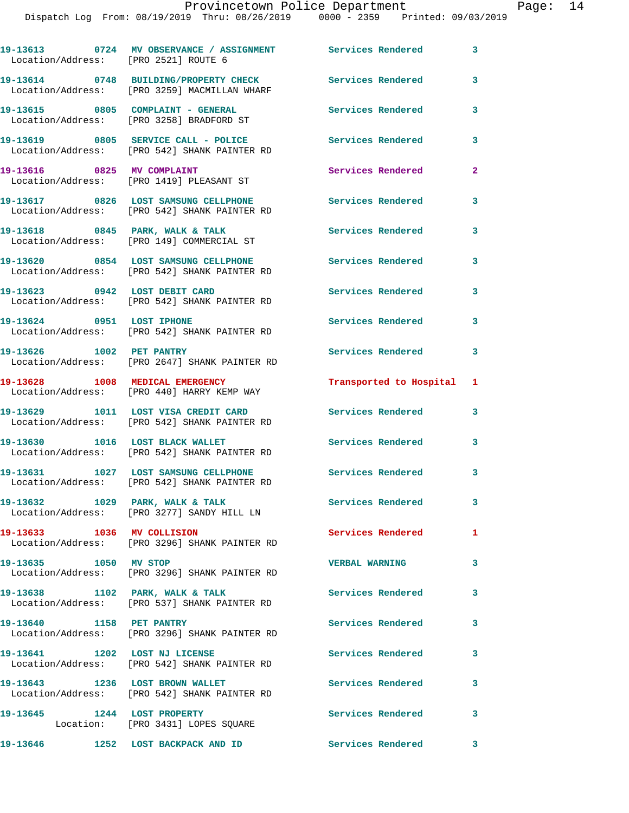| Location/Address: [PRO 2521] ROUTE 6 | 19-13613 0724 MV OBSERVANCE / ASSIGNMENT Services Rendered                            |                           | 3              |
|--------------------------------------|---------------------------------------------------------------------------------------|---------------------------|----------------|
|                                      | 19-13614 0748 BUILDING/PROPERTY CHECK<br>Location/Address: [PRO 3259] MACMILLAN WHARF | <b>Services Rendered</b>  | 3              |
|                                      | 19-13615 0805 COMPLAINT - GENERAL<br>Location/Address: [PRO 3258] BRADFORD ST         | <b>Services Rendered</b>  | 3              |
|                                      | 19-13619 0805 SERVICE CALL - POLICE<br>Location/Address: [PRO 542] SHANK PAINTER RD   | <b>Services Rendered</b>  | 3              |
| 19-13616 0825 MV COMPLAINT           | Location/Address: [PRO 1419] PLEASANT ST                                              | Services Rendered         | $\overline{a}$ |
|                                      | 19-13617 0826 LOST SAMSUNG CELLPHONE<br>Location/Address: [PRO 542] SHANK PAINTER RD  | <b>Services Rendered</b>  | 3              |
|                                      | 19-13618 0845 PARK, WALK & TALK<br>Location/Address: [PRO 149] COMMERCIAL ST          | Services Rendered         | 3              |
|                                      | 19-13620 0854 LOST SAMSUNG CELLPHONE<br>Location/Address: [PRO 542] SHANK PAINTER RD  | Services Rendered         | 3              |
|                                      |                                                                                       | <b>Services Rendered</b>  | 3              |
|                                      | 19-13624 0951 LOST IPHONE<br>Location/Address: [PRO 542] SHANK PAINTER RD             | <b>Services Rendered</b>  | 3              |
| 19-13626 1002 PET PANTRY             | Location/Address: [PRO 2647] SHANK PAINTER RD                                         | <b>Services Rendered</b>  | 3              |
|                                      | 19-13628 1008 MEDICAL EMERGENCY<br>Location/Address: [PRO 440] HARRY KEMP WAY         | Transported to Hospital 1 |                |
|                                      | 19-13629 1011 LOST VISA CREDIT CARD<br>Location/Address: [PRO 542] SHANK PAINTER RD   | <b>Services Rendered</b>  | 3              |
|                                      | 19-13630 1016 LOST BLACK WALLET<br>Location/Address: [PRO 542] SHANK PAINTER RD       | <b>Services Rendered</b>  | 3              |
|                                      | 19-13631 1027 LOST SAMSUNG CELLPHONE<br>Location/Address: [PRO 542] SHANK PAINTER RD  | <b>Services Rendered</b>  | 3              |
|                                      | 19-13632 1029 PARK, WALK & TALK<br>Location/Address: [PRO 3277] SANDY HILL LN         | Services Rendered         | 3              |
| 19-13633 1036 MV COLLISION           | Location/Address: [PRO 3296] SHANK PAINTER RD                                         | Services Rendered         | 1              |
| 19-13635 1050 MV STOP                | Location/Address: [PRO 3296] SHANK PAINTER RD                                         | <b>VERBAL WARNING</b>     | 3              |
|                                      | 19-13638 1102 PARK, WALK & TALK<br>Location/Address: [PRO 537] SHANK PAINTER RD       | <b>Services Rendered</b>  | 3              |
|                                      | 19-13640 1158 PET PANTRY<br>Location/Address: [PRO 3296] SHANK PAINTER RD             | <b>Services Rendered</b>  | 3              |
| 19-13641 1202 LOST NJ LICENSE        | Location/Address: [PRO 542] SHANK PAINTER RD                                          | <b>Services Rendered</b>  | 3              |
|                                      | 19-13643 1236 LOST BROWN WALLET<br>Location/Address: [PRO 542] SHANK PAINTER RD       | Services Rendered         | 3              |
| 19-13645 1244 LOST PROPERTY          | Location: [PRO 3431] LOPES SQUARE                                                     | Services Rendered         | 3              |
|                                      |                                                                                       |                           |                |

**19-13646 1252 LOST BACKPACK AND ID Services Rendered 3**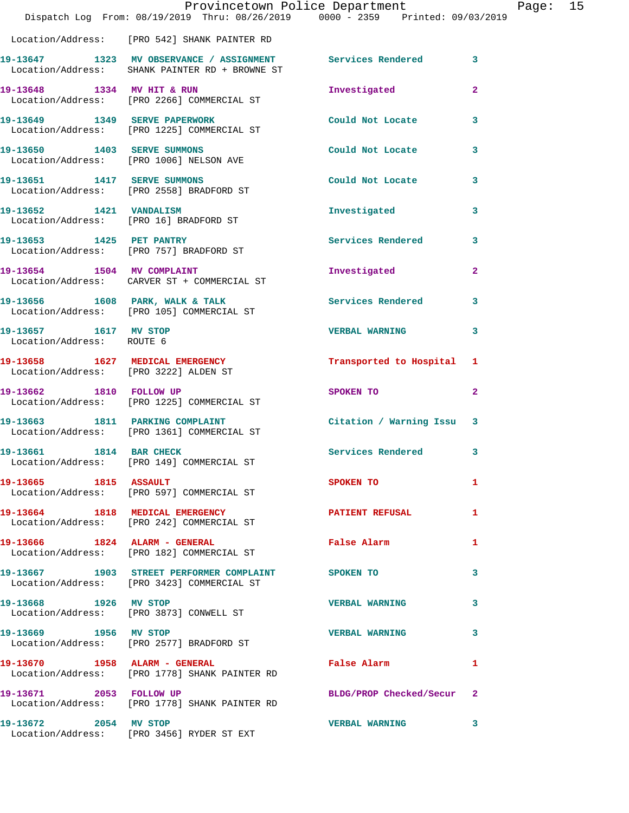|                                                    | Dispatch Log From: 08/19/2019 Thru: 08/26/2019 0000 - 2359 Printed: 09/03/2019                                 | Provincetown Police Department |                         | Page: 15 |  |
|----------------------------------------------------|----------------------------------------------------------------------------------------------------------------|--------------------------------|-------------------------|----------|--|
|                                                    | Location/Address: [PRO 542] SHANK PAINTER RD                                                                   |                                |                         |          |  |
|                                                    | 19-13647 1323 MV OBSERVANCE / ASSIGNMENT Services Rendered 3<br>Location/Address: SHANK PAINTER RD + BROWNE ST |                                |                         |          |  |
|                                                    | 19-13648 1334 MV HIT & RUN<br>Location/Address: [PRO 2266] COMMERCIAL ST                                       | Investigated                   | $\overline{2}$          |          |  |
|                                                    | 19-13649   1349   SERVE PAPERWORK<br>Location/Address: [PRO 1225] COMMERCIAL ST                                | Could Not Locate 3             |                         |          |  |
|                                                    | 19-13650 1403 SERVE SUMMONS<br>Location/Address: [PRO 1006] NELSON AVE                                         | Could Not Locate               | 3                       |          |  |
|                                                    | 19-13651 1417 SERVE SUMMONS<br>Location/Address: [PRO 2558] BRADFORD ST                                        | Could Not Locate 3             |                         |          |  |
|                                                    | 19-13652 1421 VANDALISM<br>Location/Address: [PRO 16] BRADFORD ST                                              | Investigated                   | 3                       |          |  |
| 19-13653 1425 PET PANTRY                           | Location/Address: [PRO 757] BRADFORD ST                                                                        | Services Rendered 3            |                         |          |  |
|                                                    | 19-13654 1504 MV COMPLAINT<br>Location/Address: CARVER ST + COMMERCIAL ST                                      | Investigated                   | $\mathbf{2}$            |          |  |
|                                                    | 19-13656 1608 PARK, WALK & TALK<br>Location/Address: [PRO 105] COMMERCIAL ST                                   | <b>Services Rendered</b>       | 3                       |          |  |
| 19-13657 1617 MV STOP<br>Location/Address: ROUTE 6 |                                                                                                                | <b>VERBAL WARNING</b>          | 3                       |          |  |
| Location/Address: [PRO 3222] ALDEN ST              | 19-13658 1627 MEDICAL EMERGENCY                                                                                | Transported to Hospital 1      |                         |          |  |
|                                                    | 19-13662 1810 FOLLOW UP<br>Location/Address: [PRO 1225] COMMERCIAL ST                                          | SPOKEN TO                      | $\mathbf{2}$            |          |  |
|                                                    | 19-13663 1811 PARKING COMPLAINT<br>Location/Address: [PRO 1361] COMMERCIAL ST                                  | Citation / Warning Issu 3      |                         |          |  |
| 19-13661 1814 BAR CHECK                            | Location/Address: [PRO 149] COMMERCIAL ST                                                                      | Services Rendered 3            |                         |          |  |
| 19-13665 1815 ASSAULT                              | Location/Address: [PRO 597] COMMERCIAL ST                                                                      | SPOKEN TO AND THE SPOKEN TO    | 1                       |          |  |
|                                                    | 19-13664 1818 MEDICAL EMERGENCY NEWSPATIENT REFUSAL<br>Location/Address: [PRO 242] COMMERCIAL ST               |                                | $\mathbf{1}$            |          |  |
|                                                    | 19-13666 1824 ALARM - GENERAL<br>Location/Address: [PRO 182] COMMERCIAL ST                                     | False Alarm                    | $\mathbf{1}$            |          |  |
|                                                    | 19-13667 1903 STREET PERFORMER COMPLAINT SPOKEN TO<br>Location/Address: [PRO 3423] COMMERCIAL ST               |                                | 3                       |          |  |
| 19-13668 1926 MV STOP                              | Location/Address: [PRO 3873] CONWELL ST                                                                        | <b>VERBAL WARNING</b>          | 3                       |          |  |
| 19-13669 1956 MV STOP                              | Location/Address: [PRO 2577] BRADFORD ST                                                                       | <b>VERBAL WARNING</b>          | 3                       |          |  |
|                                                    | 19-13670 1958 ALARM - GENERAL<br>Location/Address: [PRO 1778] SHANK PAINTER RD                                 | False Alarm                    | 1                       |          |  |
|                                                    | 19-13671 2053 FOLLOW UP<br>Location/Address: [PRO 1778] SHANK PAINTER RD                                       | BLDG/PROP Checked/Secur 2      |                         |          |  |
| 19-13672 2054 MV STOP                              | Location/Address: [PRO 3456] RYDER ST EXT                                                                      | <b>VERBAL WARNING</b>          | $\overline{\mathbf{3}}$ |          |  |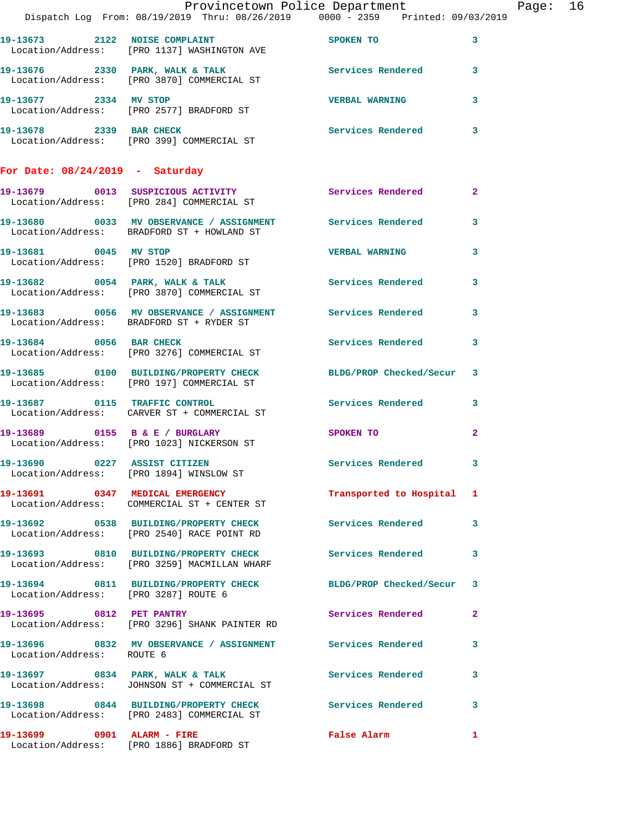|                                      | Dispatch Log From: 08/19/2019 Thru: 08/26/2019 0000 - 2359 Printed: 09/03/2019                               | Provincetown Police Department |              | Page: 16 |  |
|--------------------------------------|--------------------------------------------------------------------------------------------------------------|--------------------------------|--------------|----------|--|
|                                      | 19-13673 2122 NOISE COMPLAINT SPOKEN TO<br>Location/Address: [PRO 1137] WASHINGTON AVE                       |                                | 3            |          |  |
|                                      | 19-13676 2330 PARK, WALK & TALK 3 Services Rendered 3<br>Location/Address: [PRO 3870] COMMERCIAL ST          |                                |              |          |  |
|                                      | 19-13677 2334 MV STOP<br>Location/Address: [PRO 2577] BRADFORD ST                                            | <b>VERBAL WARNING</b>          | 3            |          |  |
|                                      | 19-13678 2339 BAR CHECK<br>Location/Address: [PRO 399] COMMERCIAL ST                                         | Services Rendered              | $\mathbf{3}$ |          |  |
| For Date: $08/24/2019$ - Saturday    |                                                                                                              |                                |              |          |  |
|                                      | 19-13679 0013 SUSPICIOUS ACTIVITY<br>Location/Address: [PRO 284] COMMERCIAL ST                               | Services Rendered              | $\mathbf{2}$ |          |  |
|                                      | 19-13680 0033 MV OBSERVANCE / ASSIGNMENT Services Rendered<br>Location/Address: BRADFORD ST + HOWLAND ST     |                                | $\mathbf{3}$ |          |  |
|                                      | 19-13681 0045 MV STOP<br>Location/Address: [PRO 1520] BRADFORD ST                                            | <b>VERBAL WARNING</b>          | 3            |          |  |
|                                      | 19-13682 0054 PARK, WALK & TALK<br>Location/Address: [PRO 3870] COMMERCIAL ST                                | Services Rendered 3            |              |          |  |
|                                      | 19-13683 0056 MV OBSERVANCE / ASSIGNMENT Services Rendered<br>Location/Address: BRADFORD ST + RYDER ST       |                                | 3            |          |  |
| 19-13684 0056 BAR CHECK              | Location/Address: [PRO 3276] COMMERCIAL ST                                                                   | Services Rendered 3            |              |          |  |
|                                      | 19-13685 0100 BUILDING/PROPERTY CHECK BLDG/PROP Checked/Secur 3<br>Location/Address: [PRO 197] COMMERCIAL ST |                                |              |          |  |
|                                      | 19-13687 0115 TRAFFIC CONTROL<br>Location/Address: CARVER ST + COMMERCIAL ST                                 | Services Rendered 3            |              |          |  |
|                                      | 19-13689 0155 B & E / BURGLARY<br>Location/Address: [PRO 1023] NICKERSON ST                                  | SPOKEN TO                      | $\mathbf{2}$ |          |  |
|                                      | 19-13690 0227 ASSIST CITIZEN<br>Location/Address: [PRO 1894] WINSLOW ST                                      | Services Rendered 3            |              |          |  |
|                                      | 19-13691 0347 MEDICAL EMERGENCY<br>Location/Address: COMMERCIAL ST + CENTER ST                               | Transported to Hospital 1      |              |          |  |
|                                      | 19-13692 0538 BUILDING/PROPERTY CHECK Services Rendered<br>Location/Address: [PRO 2540] RACE POINT RD        |                                | 3            |          |  |
|                                      | 19-13693 0810 BUILDING/PROPERTY CHECK Services Rendered<br>Location/Address: [PRO 3259] MACMILLAN WHARF      |                                | 3            |          |  |
| Location/Address: [PRO 3287] ROUTE 6 | 19-13694 0811 BUILDING/PROPERTY CHECK BLDG/PROP Checked/Secur 3                                              |                                |              |          |  |
|                                      | 19-13695 0812 PET PANTRY<br>Location/Address: [PRO 3296] SHANK PAINTER RD                                    | <b>Services Rendered</b>       | $\mathbf{2}$ |          |  |
| Location/Address: ROUTE 6            | 19-13696 0832 MV OBSERVANCE / ASSIGNMENT Services Rendered 3                                                 |                                |              |          |  |
|                                      | 19-13697 0834 PARK, WALK & TALK<br>Location/Address: JOHNSON ST + COMMERCIAL ST                              | Services Rendered              | 3            |          |  |
|                                      | 19-13698 0844 BUILDING/PROPERTY CHECK Services Rendered<br>Location/Address: [PRO 2483] COMMERCIAL ST        |                                | 3            |          |  |
|                                      | 19-13699 0901 ALARM - FIRE<br>Location/Address: [PRO 1886] BRADFORD ST                                       | False Alarm                    | 1            |          |  |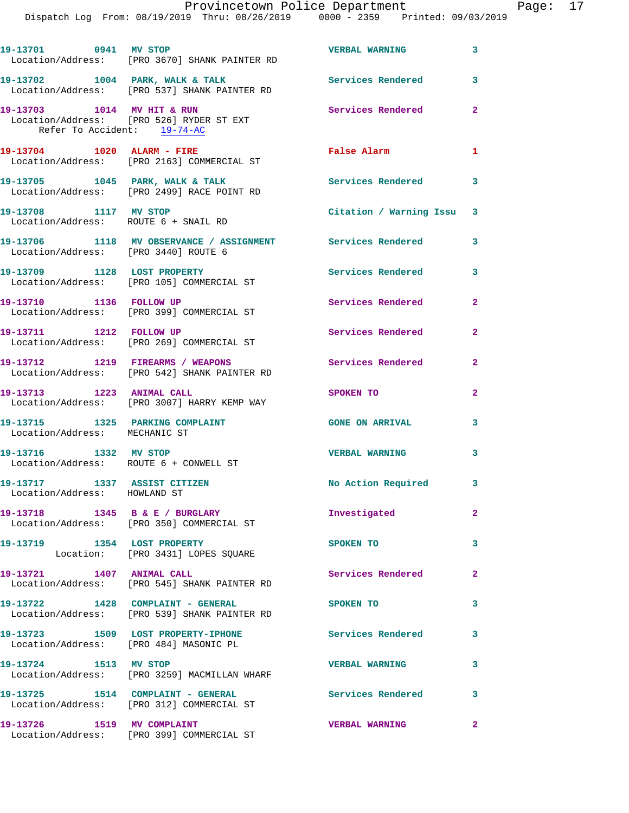| 19-13701 0941 MV STOP                                         | Location/Address: [PRO 3670] SHANK PAINTER RD                                     | <b>VERBAL WARNING</b>     | 3              |
|---------------------------------------------------------------|-----------------------------------------------------------------------------------|---------------------------|----------------|
|                                                               | 19-13702 1004 PARK, WALK & TALK<br>Location/Address: [PRO 537] SHANK PAINTER RD   | <b>Services Rendered</b>  | 3              |
| 19-13703 1014 MV HIT & RUN<br>Refer To Accident: 19-74-AC     | Location/Address: [PRO 526] RYDER ST EXT                                          | Services Rendered         | $\overline{2}$ |
| 19-13704 1020 ALARM - FIRE                                    | Location/Address: [PRO 2163] COMMERCIAL ST                                        | <b>False Alarm</b>        | 1              |
|                                                               | 19-13705 1045 PARK, WALK & TALK<br>Location/Address: [PRO 2499] RACE POINT RD     | <b>Services Rendered</b>  | 3              |
| 19-13708 1117 MV STOP<br>Location/Address: ROUTE 6 + SNAIL RD |                                                                                   | Citation / Warning Issu 3 |                |
| Location/Address: [PRO 3440] ROUTE 6                          | 19-13706 1118 MV OBSERVANCE / ASSIGNMENT Services Rendered                        |                           | 3              |
|                                                               | 19-13709 1128 LOST PROPERTY<br>Location/Address: [PRO 105] COMMERCIAL ST          | <b>Services Rendered</b>  | 3              |
| 19-13710 1136 FOLLOW UP                                       | Location/Address: [PRO 399] COMMERCIAL ST                                         | Services Rendered         | $\mathbf{2}$   |
| 19-13711 1212 FOLLOW UP                                       | Location/Address: [PRO 269] COMMERCIAL ST                                         | Services Rendered         | $\mathbf{2}$   |
|                                                               | 19-13712 1219 FIREARMS / WEAPONS<br>Location/Address: [PRO 542] SHANK PAINTER RD  | Services Rendered         | $\mathbf{2}$   |
| 19-13713 1223 ANIMAL CALL                                     | Location/Address: [PRO 3007] HARRY KEMP WAY                                       | SPOKEN TO                 | $\overline{2}$ |
| Location/Address: MECHANIC ST                                 | 19-13715 1325 PARKING COMPLAINT                                                   | <b>GONE ON ARRIVAL</b>    | 3              |
| 19-13716 1332 MV STOP                                         | Location/Address: ROUTE 6 + CONWELL ST                                            | <b>VERBAL WARNING</b>     | 3              |
| 19-13717 1337 ASSIST CITIZEN<br>Location/Address: HOWLAND ST  |                                                                                   | No Action Required        | 3              |
|                                                               | 19-13718 1345 B & E / BURGLARY<br>Location/Address: [PRO 350] COMMERCIAL ST       | Investigated              | $\mathbf{2}$   |
|                                                               | 19-13719 1354 LOST PROPERTY<br>Location: [PRO 3431] LOPES SQUARE                  | SPOKEN TO                 | 3              |
| 19-13721 1407 ANIMAL CALL                                     | Location/Address: [PRO 545] SHANK PAINTER RD                                      | <b>Services Rendered</b>  | $\mathbf{2}$   |
|                                                               | 19-13722 1428 COMPLAINT - GENERAL<br>Location/Address: [PRO 539] SHANK PAINTER RD | SPOKEN TO                 | 3              |
|                                                               | 19-13723 1509 LOST PROPERTY-IPHONE<br>Location/Address: [PRO 484] MASONIC PL      | Services Rendered         | 3              |
| 19-13724 1513 MV STOP                                         | Location/Address: [PRO 3259] MACMILLAN WHARF                                      | <b>VERBAL WARNING</b>     | 3              |
|                                                               | 19-13725 1514 COMPLAINT - GENERAL<br>Location/Address: [PRO 312] COMMERCIAL ST    | <b>Services Rendered</b>  | 3              |
|                                                               | 19-13726 1519 MV COMPLAINT<br>Location/Address: [PRO 399] COMMERCIAL ST           | <b>VERBAL WARNING</b>     | $\overline{2}$ |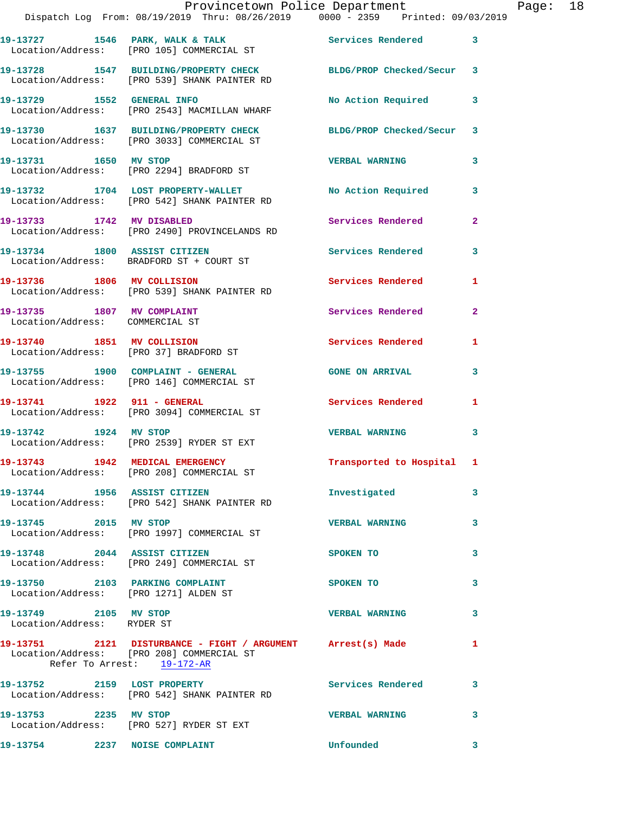|                                                               | Provincetown Police Department<br>Dispatch Log From: 08/19/2019 Thru: 08/26/2019   0000 - 2359   Printed: 09/03/2019                   |                           |                | Page: 18 |  |
|---------------------------------------------------------------|----------------------------------------------------------------------------------------------------------------------------------------|---------------------------|----------------|----------|--|
|                                                               | 19-13727 1546 PARK, WALK & TALK 1998 Services Rendered 3<br>Location/Address: [PRO 105] COMMERCIAL ST                                  |                           |                |          |  |
|                                                               | 19-13728 1547 BUILDING/PROPERTY CHECK BLDG/PROP Checked/Secur 3<br>Location/Address: [PRO 539] SHANK PAINTER RD                        |                           |                |          |  |
|                                                               | 19-13729 1552 GENERAL INFO<br>Location/Address: [PRO 2543] MACMILLAN WHARF                                                             | No Action Required        | 3              |          |  |
|                                                               | 19-13730 1637 BUILDING/PROPERTY CHECK BLDG/PROP Checked/Secur 3<br>Location/Address: [PRO 3033] COMMERCIAL ST                          |                           |                |          |  |
|                                                               | 19-13731 1650 MV STOP<br>Location/Address: [PRO 2294] BRADFORD ST                                                                      | <b>VERBAL WARNING</b>     | 3              |          |  |
|                                                               | 19-13732 1704 LOST PROPERTY-WALLET No Action Required 3<br>Location/Address: [PRO 542] SHANK PAINTER RD                                |                           |                |          |  |
|                                                               | 19-13733 1742 MV DISABLED<br>Location/Address: [PRO 2490] PROVINCELANDS RD                                                             | Services Rendered         | $\overline{2}$ |          |  |
|                                                               | 19-13734 1800 ASSIST CITIZEN<br>Location/Address: BRADFORD ST + COURT ST                                                               | Services Rendered         | 3              |          |  |
|                                                               | 19-13736 1806 MV COLLISION<br>Location/Address: [PRO 539] SHANK PAINTER RD                                                             | Services Rendered 1       |                |          |  |
| 19-13735 1807 MV COMPLAINT<br>Location/Address: COMMERCIAL ST |                                                                                                                                        | Services Rendered         | $\overline{2}$ |          |  |
|                                                               | 19-13740 1851 MV COLLISION<br>Location/Address: [PRO 37] BRADFORD ST                                                                   | Services Rendered 1       |                |          |  |
|                                                               | 19-13755 1900 COMPLAINT - GENERAL<br>Location/Address: [PRO 146] COMMERCIAL ST                                                         | <b>GONE ON ARRIVAL</b>    | 3              |          |  |
|                                                               | 19-13741 1922 911 - GENERAL<br>Location/Address: [PRO 3094] COMMERCIAL ST                                                              | Services Rendered 1       |                |          |  |
|                                                               | 19-13742 1924 MV STOP<br>Location/Address: [PRO 2539] RYDER ST EXT                                                                     | <b>VERBAL WARNING</b>     | 3              |          |  |
|                                                               | 19-13743 1942 MEDICAL EMERGENCY<br>Location/Address: [PRO 208] COMMERCIAL ST                                                           | Transported to Hospital 1 |                |          |  |
|                                                               | 19-13744 1956 ASSIST CITIZEN<br>Location/Address: [PRO 542] SHANK PAINTER RD                                                           | Investigated              | 3              |          |  |
| 19-13745 2015 MV STOP                                         | Location/Address: [PRO 1997] COMMERCIAL ST                                                                                             | <b>VERBAL WARNING</b>     | 3              |          |  |
|                                                               | 19-13748 2044 ASSIST CITIZEN<br>Location/Address: [PRO 249] COMMERCIAL ST                                                              | SPOKEN TO                 | 3              |          |  |
|                                                               | 19-13750 2103 PARKING COMPLAINT<br>Location/Address: [PRO 1271] ALDEN ST                                                               | <b>SPOKEN TO</b>          | 3              |          |  |
| 19-13749 2105 MV STOP<br>Location/Address: RYDER ST           |                                                                                                                                        | <b>VERBAL WARNING</b>     | 3              |          |  |
|                                                               | 19-13751 2121 DISTURBANCE - FIGHT / ARGUMENT Arrest(s) Made<br>Location/Address: [PRO 208] COMMERCIAL ST<br>Refer To Arrest: 19-172-AR |                           | $\mathbf{1}$   |          |  |
|                                                               | 19-13752 2159 LOST PROPERTY<br>Location/Address: [PRO 542] SHANK PAINTER RD                                                            | Services Rendered         | 3              |          |  |
| 19-13753 2235 MV STOP                                         | Location/Address: [PRO 527] RYDER ST EXT                                                                                               | <b>VERBAL WARNING</b>     | 3              |          |  |
| 19-13754 2237 NOISE COMPLAINT                                 |                                                                                                                                        | Unfounded                 | 3              |          |  |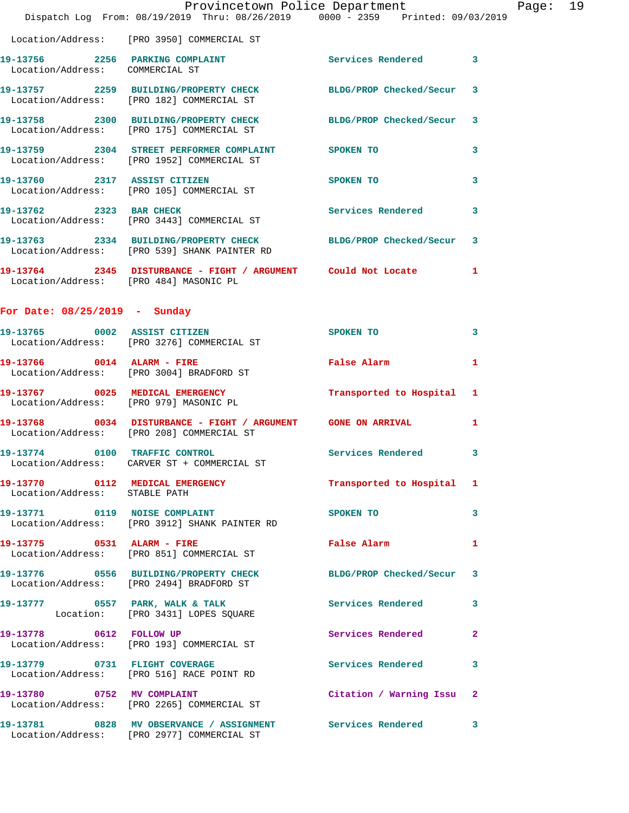|                                                                  | Provincetown Police Department                                                                                |                           |              |
|------------------------------------------------------------------|---------------------------------------------------------------------------------------------------------------|---------------------------|--------------|
|                                                                  | Dispatch Log From: 08/19/2019 Thru: 08/26/2019 0000 - 2359 Printed: 09/03/2019                                |                           |              |
|                                                                  | Location/Address: [PRO 3950] COMMERCIAL ST                                                                    |                           |              |
| Location/Address: COMMERCIAL ST                                  | 19-13756 2256 PARKING COMPLAINT                                                                               | Services Rendered         | 3            |
|                                                                  | 19-13757 2259 BUILDING/PROPERTY CHECK BLDG/PROP Checked/Secur<br>Location/Address: [PRO 182] COMMERCIAL ST    |                           | 3            |
|                                                                  | 19-13758 2300 BUILDING/PROPERTY CHECK<br>Location/Address: [PRO 175] COMMERCIAL ST                            | BLDG/PROP Checked/Secur   | 3            |
|                                                                  | 19-13759 2304 STREET PERFORMER COMPLAINT SPOKEN TO<br>Location/Address: [PRO 1952] COMMERCIAL ST              |                           | 3            |
|                                                                  | 19-13760 2317 ASSIST CITIZEN<br>Location/Address: [PRO 105] COMMERCIAL ST                                     | SPOKEN TO                 | 3            |
| 19-13762 2323 BAR CHECK                                          | Location/Address: [PRO 3443] COMMERCIAL ST                                                                    | Services Rendered         | 3            |
|                                                                  | 19-13763 2334 BUILDING/PROPERTY CHECK BLDG/PROP Checked/Secur<br>Location/Address: [PRO 539] SHANK PAINTER RD |                           | 3            |
| Location/Address: [PRO 484] MASONIC PL                           | 19-13764 2345 DISTURBANCE - FIGHT / ARGUMENT Could Not Locate                                                 |                           | 1            |
| For Date: $08/25/2019$ - Sunday                                  |                                                                                                               |                           |              |
|                                                                  | 19-13765 0002 ASSIST CITIZEN<br>Location/Address: [PRO 3276] COMMERCIAL ST                                    | SPOKEN TO                 | 3            |
|                                                                  | 19-13766 0014 ALARM - FIRE<br>Location/Address: [PRO 3004] BRADFORD ST                                        | <b>False Alarm</b>        | 1            |
|                                                                  | 19-13767 0025 MEDICAL EMERGENCY<br>Location/Address: [PRO 979] MASONIC PL                                     | Transported to Hospital   | 1            |
|                                                                  | 19-13768 0034 DISTURBANCE - FIGHT / ARGUMENT GONE ON ARRIVAL<br>Location/Address: [PRO 208] COMMERCIAL ST     |                           | 1            |
|                                                                  | $19-13774$ 0100 TRAFFIC CONTROL<br>Location/Address: CARVER ST + COMMERCIAL ST                                | Services Rendered         | $\mathbf{3}$ |
| 19-13770 0112 MEDICAL EMERGENCY<br>Location/Address: STABLE PATH |                                                                                                               | Transported to Hospital 1 |              |
|                                                                  | 19-13771 0119 NOISE COMPLAINT<br>Location/Address: [PRO 3912] SHANK PAINTER RD                                | SPOKEN TO                 | 3            |
|                                                                  | 19-13775 0531 ALARM - FIRE<br>Location/Address: [PRO 851] COMMERCIAL ST                                       | <b>False Alarm</b>        | 1            |
|                                                                  | 19-13776 0556 BUILDING/PROPERTY CHECK BLDG/PROP Checked/Secur<br>Location/Address: [PRO 2494] BRADFORD ST     |                           | 3            |
|                                                                  |                                                                                                               | Services Rendered         | 3            |
| 19-13778 0612 FOLLOW UP                                          | Location/Address: [PRO 193] COMMERCIAL ST                                                                     | Services Rendered         | $\mathbf{2}$ |
|                                                                  | 19-13779 0731 FLIGHT COVERAGE<br>Location/Address: [PRO 516] RACE POINT RD                                    | <b>Services Rendered</b>  | 3            |
| 19-13780 0752 MV COMPLAINT                                       | Location/Address: [PRO 2265] COMMERCIAL ST                                                                    | Citation / Warning Issu   | $\mathbf{2}$ |
|                                                                  | 19-13781 0828 MV OBSERVANCE / ASSIGNMENT Services Rendered 3                                                  |                           |              |

Location/Address: [PRO 2977] COMMERCIAL ST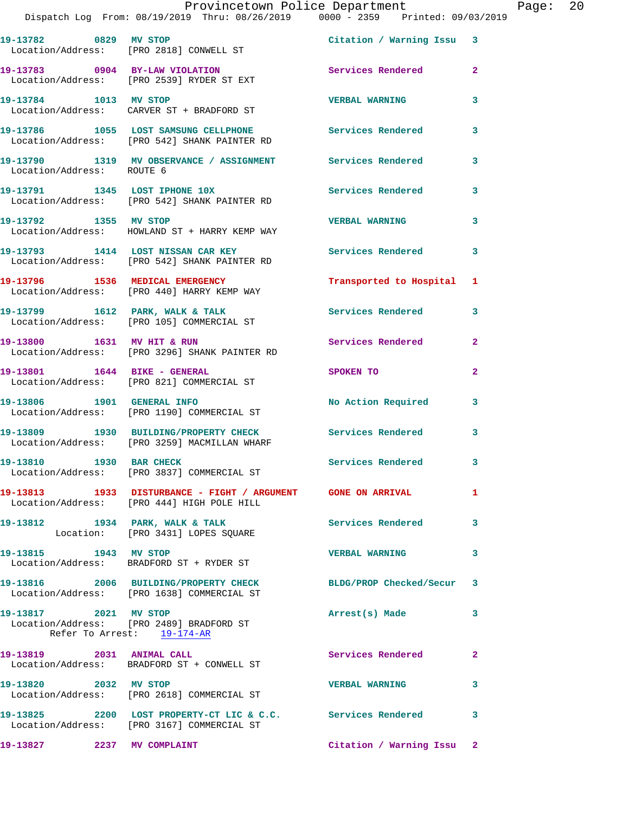|                           | Provincetown Police Department                                                                            |                           |                |
|---------------------------|-----------------------------------------------------------------------------------------------------------|---------------------------|----------------|
|                           | Dispatch Log From: 08/19/2019 Thru: 08/26/2019 0000 - 2359 Printed: 09/03/2019                            |                           |                |
| 19-13782 0829 MV STOP     | Location/Address: [PRO 2818] CONWELL ST                                                                   | Citation / Warning Issu 3 |                |
|                           | 19-13783 0904 BY-LAW VIOLATION<br>Location/Address: [PRO 2539] RYDER ST EXT                               | <b>Services Rendered</b>  | $\overline{a}$ |
| 19-13784 1013 MV STOP     | Location/Address: CARVER ST + BRADFORD ST                                                                 | <b>VERBAL WARNING</b>     | 3              |
|                           | 19-13786 1055 LOST SAMSUNG CELLPHONE Services Rendered<br>Location/Address: [PRO 542] SHANK PAINTER RD    |                           | 3              |
| Location/Address: ROUTE 6 | 19-13790               1319     MV  OBSERVANCE  /  ASSIGNMENT                 Services  Rendered          |                           | 3              |
|                           | 19-13791 1345 LOST IPHONE 10X<br><b>Services Rendered</b><br>Location/Address: [PRO 542] SHANK PAINTER RD |                           | 3              |
| 19-13792 1355             | MV STOP                                                                                                   | <b>VERBAL WARNING</b>     | 3              |

**19-13793 1414 LOST NISSAN CAR KEY Services Rendered 3**  Location/Address: [PRO 542] SHANK PAINTER RD

**19-13796 1536 MEDICAL EMERGENCY Transported to Hospital 1**  Location/Address: [PRO 440] HARRY KEMP WAY

**19-13799 1612 PARK, WALK & TALK Services Rendered 3**  Location/Address: [PRO 105] COMMERCIAL ST

19-13800 1631 MV HIT & RUN Services Rendered 2 Location/Address: [PRO 3296] SHANK PAINTER RD

**19-13801 1644 BIKE - GENERAL SPOKEN TO 2**  Location/Address: [PRO 821] COMMERCIAL ST

19-13806 1901 GENERAL INFO **1901 No Action Required** 3 Location/Address: [PRO 1190] COMMERCIAL ST

**19-13809 1930 BUILDING/PROPERTY CHECK Services Rendered 3**  Location/Address: [PRO 3259] MACMILLAN WHARF

**19-13810 1930 BAR CHECK Services Rendered 3**  Location/Address: [PRO 3837] COMMERCIAL ST

**19-13813 1933 DISTURBANCE - FIGHT / ARGUMENT GONE ON ARRIVAL 1**  Location/Address: [PRO 444] HIGH POLE HILL

**19-13812 1934 PARK, WALK & TALK Services Rendered 3** 

Location: [PRO 3431] LOPES SOUARE

**19-13815 1943 MV STOP VERBAL WARNING 3**  Location/Address: BRADFORD ST + RYDER ST

Location/Address: HOWLAND ST + HARRY KEMP WAY

**19-13816 2006 BUILDING/PROPERTY CHECK BLDG/PROP Checked/Secur 3**  Location/Address: [PRO 1638] COMMERCIAL ST

**19-13817 2021 MV STOP Arrest(s) Made 3**  Location/Address: [PRO 2489] BRADFORD ST Refer To Arrest: 19-174-AR

**19-13819 2031 ANIMAL CALL Services Rendered 2**  Location/Address: BRADFORD ST + CONWELL ST

**19-13820 2032 MV STOP VERBAL WARNING 3**  Location/Address: [PRO 2618] COMMERCIAL ST

**19-13825 2200 LOST PROPERTY-CT LIC & C.C. Services Rendered 3**  Location/Address: [PRO 3167] COMMERCIAL ST

**19-13827 2237 MV COMPLAINT Citation / Warning Issu 2**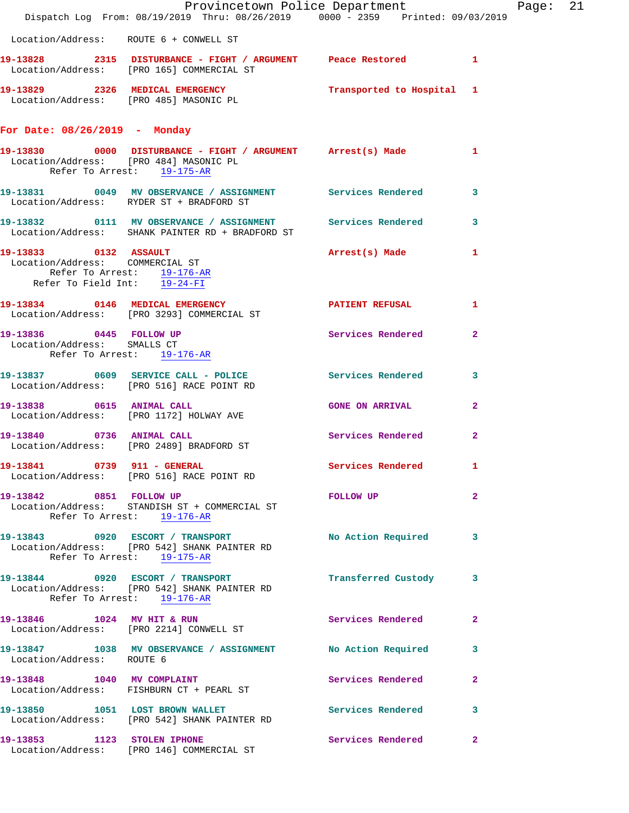|                                                                                                                                     | Dispatch Log From: 08/19/2019 Thru: 08/26/2019 0000 - 2359 Printed: 09/03/2019                                   | Provincetown Police Department | Ρa             |
|-------------------------------------------------------------------------------------------------------------------------------------|------------------------------------------------------------------------------------------------------------------|--------------------------------|----------------|
|                                                                                                                                     | Location/Address: ROUTE 6 + CONWELL ST                                                                           |                                |                |
|                                                                                                                                     | 19-13828 2315 DISTURBANCE - FIGHT / ARGUMENT Peace Restored<br>Location/Address: [PRO 165] COMMERCIAL ST         |                                | $\mathbf{1}$   |
|                                                                                                                                     | 19-13829 2326 MEDICAL EMERGENCY Transported to Hospital 1 Location/Address: [PRO 485] MASONIC PL                 |                                |                |
| For Date: 08/26/2019 - Monday                                                                                                       |                                                                                                                  |                                |                |
| Refer To Arrest: 19-175-AR                                                                                                          | 19-13830 0000 DISTURBANCE - FIGHT / ARGUMENT Arrest(s) Made<br>Location/Address: [PRO 484] MASONIC PL            |                                | 1              |
|                                                                                                                                     | 19-13831 0049 MV OBSERVANCE / ASSIGNMENT Services Rendered<br>Location/Address: RYDER ST + BRADFORD ST           |                                | 3              |
|                                                                                                                                     | 19-13832 0111 MV OBSERVANCE / ASSIGNMENT Services Rendered<br>Location/Address: SHANK PAINTER RD + BRADFORD ST   |                                | 3              |
| 19-13833 0132 ASSAULT<br>Location/Address: COMMERCIAL ST<br>Refer To Arrest: 19-176-AR<br>Refer To Field Int: $\overline{19-24-FI}$ |                                                                                                                  | Arrest(s) Made                 | 1              |
|                                                                                                                                     | 19-13834 0146 MEDICAL EMERGENCY<br>Location/Address: [PRO 3293] COMMERCIAL ST                                    | PATIENT REFUSAL                | 1              |
| 19-13836 0445 FOLLOW UP<br>Location/Address: SMALLS CT<br>Refer To Arrest: 19-176-AR                                                |                                                                                                                  | Services Rendered              | $\overline{2}$ |
|                                                                                                                                     | 19-13837 0609 SERVICE CALL - POLICE Services Rendered<br>Location/Address: [PRO 516] RACE POINT RD               |                                | 3              |
| 19-13838 0615 ANIMAL CALL                                                                                                           | Location/Address: [PRO 1172] HOLWAY AVE                                                                          | <b>GONE ON ARRIVAL</b>         | $\mathbf{2}$   |
| 19-13840 0736 ANIMAL CALL                                                                                                           | Location/Address: [PRO 2489] BRADFORD ST                                                                         | Services Rendered              | $\mathbf{2}$   |
|                                                                                                                                     | 19-13841 0739 911 - GENERAL<br>Location/Address: [PRO 516] RACE POINT RD                                         | Services Rendered              | 1.             |
| 19-13842 0851 FOLLOW UP<br>Refer To Arrest: 19-176-AR                                                                               | Location/Address: STANDISH ST + COMMERCIAL ST                                                                    | FOLLOW UP NOTES                | $\overline{2}$ |
|                                                                                                                                     | 19-13843 0920 ESCORT / TRANSPORT<br>Location/Address: [PRO 542] SHANK PAINTER RD<br>Refer To Arrest: $19-175-AR$ | No Action Required             | 3              |
|                                                                                                                                     | 19-13844 0920 ESCORT / TRANSPORT<br>Location/Address: [PRO 542] SHANK PAINTER RD<br>Refer To Arrest: 19-176-AR   | Transferred Custody 3          |                |
| 19-13846 1024 MV HIT & RUN                                                                                                          | Location/Address: [PRO 2214] CONWELL ST                                                                          | Services Rendered              | $\mathbf{2}$   |
|                                                                                                                                     | 19-13847 1038 MV OBSERVANCE / ASSIGNMENT No Action Required<br>Location/Address: ROUTE 6                         |                                | 3              |
|                                                                                                                                     | 19-13848 1040 MV COMPLAINT<br>Location/Address: FISHBURN CT + PEARL ST                                           | Services Rendered              | $\overline{a}$ |
|                                                                                                                                     | 19-13850 1051 LOST BROWN WALLET<br>Location/Address: [PRO 542] SHANK PAINTER RD                                  | Services Rendered              | 3              |
| 19-13853 1123 STOLEN IPHONE                                                                                                         | Location/Address: [PRO 146] COMMERCIAL ST                                                                        | Services Rendered              | $\mathbf{2}$   |

age: 21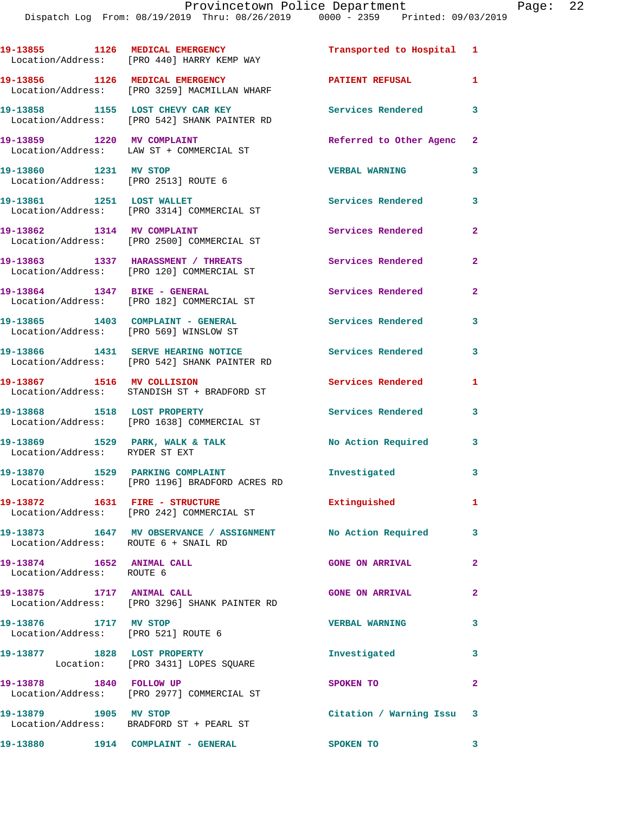|                                                               | 19-13855 1126 MEDICAL EMERGENCY<br>Location/Address: [PRO 440] HARRY KEMP WAY      | Transported to Hospital 1 |                |
|---------------------------------------------------------------|------------------------------------------------------------------------------------|---------------------------|----------------|
|                                                               | 19-13856 1126 MEDICAL EMERGENCY<br>Location/Address: [PRO 3259] MACMILLAN WHARF    | <b>PATIENT REFUSAL</b>    | $\mathbf{1}$   |
|                                                               | 19-13858 1155 LOST CHEVY CAR KEY<br>Location/Address: [PRO 542] SHANK PAINTER RD   | <b>Services Rendered</b>  | 3              |
| 19-13859 1220 MV COMPLAINT                                    | Location/Address: LAW ST + COMMERCIAL ST                                           | Referred to Other Agenc   | 2              |
| 19-13860 1231 MV STOP<br>Location/Address: [PRO 2513] ROUTE 6 |                                                                                    | <b>VERBAL WARNING</b>     | 3              |
| 19-13861 1251 LOST WALLET                                     | Location/Address: [PRO 3314] COMMERCIAL ST                                         | Services Rendered         | 3              |
| 19-13862 1314 MV COMPLAINT                                    | Location/Address: [PRO 2500] COMMERCIAL ST                                         | Services Rendered         | $\overline{2}$ |
|                                                               | 19-13863 1337 HARASSMENT / THREATS<br>Location/Address: [PRO 120] COMMERCIAL ST    | Services Rendered         | $\mathbf{2}$   |
|                                                               | 19-13864 1347 BIKE - GENERAL<br>Location/Address: [PRO 182] COMMERCIAL ST          | Services Rendered         | $\mathbf{2}$   |
| Location/Address: [PRO 569] WINSLOW ST                        | 19-13865 1403 COMPLAINT - GENERAL                                                  | Services Rendered         | 3              |
|                                                               | 19-13866 1431 SERVE HEARING NOTICE<br>Location/Address: [PRO 542] SHANK PAINTER RD | Services Rendered         | 3              |
|                                                               | 19-13867 1516 MV COLLISION<br>Location/Address: STANDISH ST + BRADFORD ST          | Services Rendered         | 1              |
| 19-13868 1518 LOST PROPERTY                                   | Location/Address: [PRO 1638] COMMERCIAL ST                                         | Services Rendered         | 3              |
| Location/Address: RYDER ST EXT                                | 19-13869 1529 PARK, WALK & TALK                                                    | No Action Required        | 3              |
|                                                               | 19-13870 1529 PARKING COMPLAINT<br>Location/Address: [PRO 1196] BRADFORD ACRES RD  | Investigated              | 3              |
|                                                               | 19-13872 1631 FIRE - STRUCTURE<br>Location/Address: [PRO 242] COMMERCIAL ST        | Extinguished              | $\mathbf{1}$   |
| Location/Address: ROUTE 6 + SNAIL RD                          | 19-13873 1647 MV OBSERVANCE / ASSIGNMENT No Action Required                        |                           | 3              |
| 19-13874 1652 ANIMAL CALL<br>Location/Address: ROUTE 6        |                                                                                    | <b>GONE ON ARRIVAL</b>    | $\mathbf{2}$   |
| 19-13875 1717 ANIMAL CALL                                     | Location/Address: [PRO 3296] SHANK PAINTER RD                                      | <b>GONE ON ARRIVAL</b>    | $\mathbf{2}$   |
| 19-13876 1717 MV STOP<br>Location/Address: [PRO 521] ROUTE 6  |                                                                                    | <b>VERBAL WARNING</b>     | 3              |
| 19-13877 1828 LOST PROPERTY                                   | Location: [PRO 3431] LOPES SQUARE                                                  | Investigated              | 3              |
| 19-13878 1840 FOLLOW UP                                       | Location/Address: [PRO 2977] COMMERCIAL ST                                         | SPOKEN TO                 | $\mathbf{2}$   |
| 19-13879 1905 MV STOP                                         | Location/Address: BRADFORD ST + PEARL ST                                           | Citation / Warning Issu 3 |                |
|                                                               | 19-13880 1914 COMPLAINT - GENERAL                                                  | SPOKEN TO 3               |                |